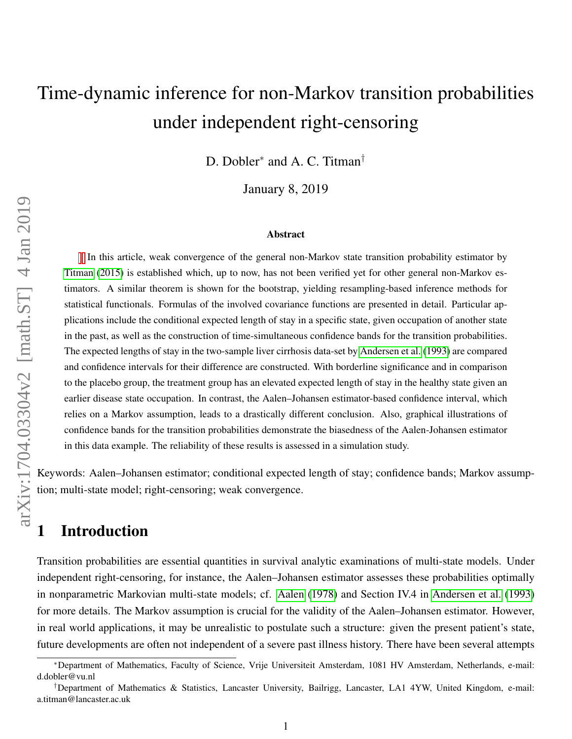# Time-dynamic inference for non-Markov transition probabilities under independent right-censoring

D. Dobler<sup>∗</sup> and A. C. Titman†

January 8, 2019

#### Abstract

In this article, weak convergence of the general non-Markov state transition probability estimator by [Titman](#page-13-0) [\(2015\)](#page-13-0) is established which, up to now, has not been verified yet for other general non-Markov estimators. A similar theorem is shown for the bootstrap, yielding resampling-based inference methods for statistical functionals. Formulas of the involved covariance functions are presented in detail. Particular applications include the conditional expected length of stay in a specific state, given occupation of another state in the past, as well as the construction of time-simultaneous confidence bands for the transition probabilities. The expected lengths of stay in the two-sample liver cirrhosis data-set by [Andersen et al.](#page-12-0) [\(1993\)](#page-12-0) are compared and confidence intervals for their difference are constructed. With borderline significance and in comparison to the placebo group, the treatment group has an elevated expected length of stay in the healthy state given an earlier disease state occupation. In contrast, the Aalen–Johansen estimator-based confidence interval, which relies on a Markov assumption, leads to a drastically different conclusion. Also, graphical illustrations of confidence bands for the transition probabilities demonstrate the biasedness of the Aalen-Johansen estimator in this data example. The reliability of these results is assessed in a simulation study.

Keywords: Aalen–Johansen estimator; conditional expected length of stay; confidence bands; Markov assumption; multi-state model; right-censoring; weak convergence.

### 1 Introduction

Transition probabilities are essential quantities in survival analytic examinations of multi-state models. Under independent right-censoring, for instance, the Aalen–Johansen estimator assesses these probabilities optimally in nonparametric Markovian multi-state models; cf. [Aalen](#page-11-0) [\(1978\)](#page-11-0) and Section IV.4 in [Andersen et al.](#page-12-0) [\(1993\)](#page-12-0) for more details. The Markov assumption is crucial for the validity of the Aalen–Johansen estimator. However, in real world applications, it may be unrealistic to postulate such a structure: given the present patient's state, future developments are often not independent of a severe past illness history. There have been several attempts

<sup>∗</sup>Department of Mathematics, Faculty of Science, Vrije Universiteit Amsterdam, 1081 HV Amsterdam, Netherlands, e-mail: d.dobler@vu.nl

<sup>†</sup>Department of Mathematics & Statistics, Lancaster University, Bailrigg, Lancaster, LA1 4YW, United Kingdom, e-mail: a.titman@lancaster.ac.uk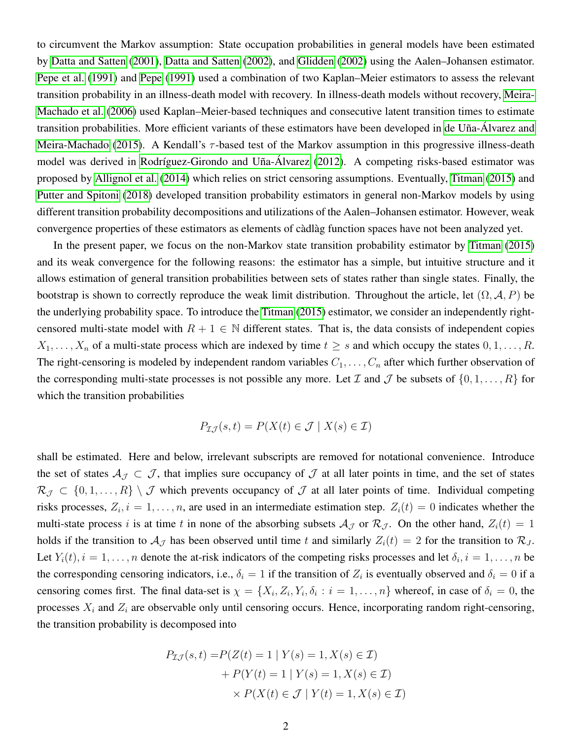to circumvent the Markov assumption: State occupation probabilities in general models have been estimated by [Datta and Satten](#page-12-1) [\(2001\)](#page-12-1), [Datta and Satten](#page-12-2) [\(2002\)](#page-12-2), and [Glidden](#page-12-3) [\(2002\)](#page-12-3) using the Aalen–Johansen estimator. [Pepe et al.](#page-13-1) [\(1991\)](#page-13-1) and [Pepe](#page-13-2) [\(1991\)](#page-13-2) used a combination of two Kaplan–Meier estimators to assess the relevant transition probability in an illness-death model with recovery. In illness-death models without recovery, [Meira-](#page-13-3)[Machado et al.](#page-13-3) [\(2006\)](#page-13-3) used Kaplan–Meier-based techniques and consecutive latent transition times to estimate transition probabilities. More efficient variants of these estimators have been developed in de Uña-Álvarez and [Meira-Machado](#page-12-4) [\(2015\)](#page-12-4). A Kendall's  $\tau$ -based test of the Markov assumption in this progressive illness-death model was derived in Rodríguez-Girondo and Uña-Álvarez [\(2012\)](#page-13-4). A competing risks-based estimator was proposed by [Allignol et al.](#page-12-5) [\(2014\)](#page-12-5) which relies on strict censoring assumptions. Eventually, [Titman](#page-13-0) [\(2015\)](#page-13-0) and [Putter and Spitoni](#page-13-5) [\(2018\)](#page-13-5) developed transition probability estimators in general non-Markov models by using different transition probability decompositions and utilizations of the Aalen–Johansen estimator. However, weak convergence properties of these estimators as elements of càdlàg function spaces have not been analyzed yet.

In the present paper, we focus on the non-Markov state transition probability estimator by [Titman](#page-13-0) [\(2015\)](#page-13-0) and its weak convergence for the following reasons: the estimator has a simple, but intuitive structure and it allows estimation of general transition probabilities between sets of states rather than single states. Finally, the bootstrap is shown to correctly reproduce the weak limit distribution. Throughout the article, let  $(\Omega, \mathcal{A}, P)$  be the underlying probability space. To introduce the [Titman](#page-13-0) [\(2015\)](#page-13-0) estimator, we consider an independently rightcensored multi-state model with  $R + 1 \in \mathbb{N}$  different states. That is, the data consists of independent copies  $X_1, \ldots, X_n$  of a multi-state process which are indexed by time  $t \geq s$  and which occupy the states  $0, 1, \ldots, R$ . The right-censoring is modeled by independent random variables  $C_1, \ldots, C_n$  after which further observation of the corresponding multi-state processes is not possible any more. Let  $\mathcal I$  and  $\mathcal J$  be subsets of  $\{0, 1, \ldots, R\}$  for which the transition probabilities

$$
P_{\mathcal{I}\mathcal{J}}(s,t) = P(X(t) \in \mathcal{J} \mid X(s) \in \mathcal{I})
$$

shall be estimated. Here and below, irrelevant subscripts are removed for notational convenience. Introduce the set of states  $A_{\mathcal{J}} \subset \mathcal{J}$ , that implies sure occupancy of  $\mathcal{J}$  at all later points in time, and the set of states  $\mathcal{R}_{\mathcal{J}} \subset \{0, 1, \ldots, R\} \setminus \mathcal{J}$  which prevents occupancy of  $\mathcal{J}$  at all later points of time. Individual competing risks processes,  $Z_i$ ,  $i = 1, \ldots, n$ , are used in an intermediate estimation step.  $Z_i(t) = 0$  indicates whether the multi-state process i is at time t in none of the absorbing subsets  $A_{\mathcal{J}}$  or  $\mathcal{R}_{\mathcal{J}}$ . On the other hand,  $Z_i(t) = 1$ holds if the transition to  $A_J$  has been observed until time t and similarly  $Z_i(t) = 2$  for the transition to  $\mathcal{R}_J$ . Let  $Y_i(t)$ ,  $i = 1, \ldots, n$  denote the at-risk indicators of the competing risks processes and let  $\delta_i$ ,  $i = 1, \ldots, n$  be the corresponding censoring indicators, i.e.,  $\delta_i = 1$  if the transition of  $Z_i$  is eventually observed and  $\delta_i = 0$  if a censoring comes first. The final data-set is  $\chi = \{X_i, Z_i, Y_i, \delta_i : i = 1, \ldots, n\}$  whereof, in case of  $\delta_i = 0$ , the processes  $X_i$  and  $Z_i$  are observable only until censoring occurs. Hence, incorporating random right-censoring, the transition probability is decomposed into

$$
P_{\mathcal{I}\mathcal{J}}(s,t) = P(Z(t) = 1 | Y(s) = 1, X(s) \in \mathcal{I})
$$

$$
+ P(Y(t) = 1 | Y(s) = 1, X(s) \in \mathcal{I})
$$

$$
\times P(X(t) \in \mathcal{J} | Y(t) = 1, X(s) \in \mathcal{I})
$$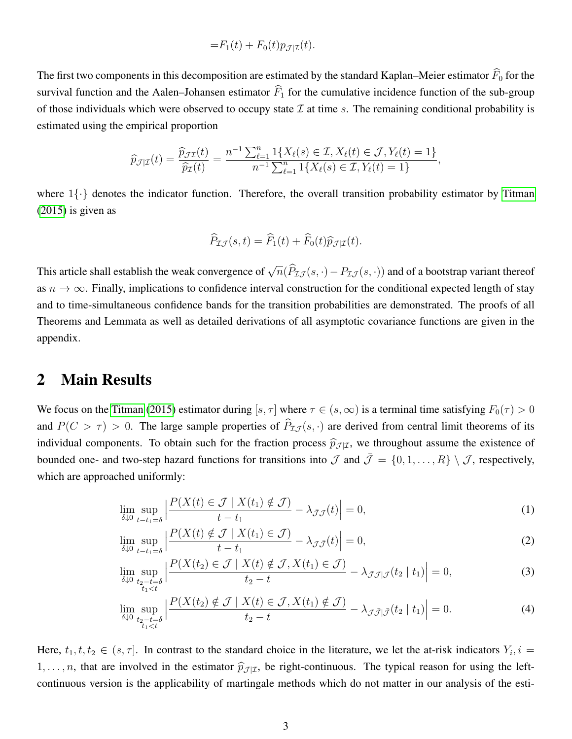$$
=F_1(t)+F_0(t)p_{\mathcal{J}|\mathcal{I}}(t).
$$

The first two components in this decomposition are estimated by the standard Kaplan–Meier estimator  $\widehat{F}_0$  for the survival function and the Aalen–Johansen estimator  $\widehat{F}_1$  for the cumulative incidence function of the sub-group of those individuals which were observed to occupy state  $\mathcal I$  at time s. The remaining conditional probability is estimated using the empirical proportion

$$
\widehat{p}_{\mathcal{J}|\mathcal{I}}(t) = \frac{\widehat{p}_{\mathcal{J}\mathcal{I}}(t)}{\widehat{p}_{\mathcal{I}}(t)} = \frac{n^{-1} \sum_{\ell=1}^{n} 1\{X_{\ell}(s) \in \mathcal{I}, X_{\ell}(t) \in \mathcal{J}, Y_{\ell}(t) = 1\}}{n^{-1} \sum_{\ell=1}^{n} 1\{X_{\ell}(s) \in \mathcal{I}, Y_{\ell}(t) = 1\}},
$$

where  $1\{\cdot\}$  denotes the indicator function. Therefore, the overall transition probability estimator by [Titman](#page-13-0) [\(2015\)](#page-13-0) is given as

$$
\widehat{P}_{\mathcal{I}\mathcal{J}}(s,t) = \widehat{F}_1(t) + \widehat{F}_0(t)\widehat{p}_{\mathcal{J}|\mathcal{I}}(t).
$$

This article shall establish the weak convergence of  $\sqrt{n}(\widehat{P}_{\mathcal{I}J}(s,\cdot)-P_{\mathcal{I}J}(s,\cdot))$  and of a bootstrap variant thereof as  $n \to \infty$ . Finally, implications to confidence interval construction for the conditional expected length of stay and to time-simultaneous confidence bands for the transition probabilities are demonstrated. The proofs of all Theorems and Lemmata as well as detailed derivations of all asymptotic covariance functions are given in the appendix.

#### 2 Main Results

We focus on the [Titman](#page-13-0) [\(2015\)](#page-13-0) estimator during [s,  $\tau$ ] where  $\tau \in (s, \infty)$  is a terminal time satisfying  $F_0(\tau) > 0$ and  $P(C > \tau) > 0$ . The large sample properties of  $\hat{P}_{I,\mathcal{J}}(s, \cdot)$  are derived from central limit theorems of its individual components. To obtain such for the fraction process  $\hat{p}_{\mathcal{J}|\mathcal{I}}$ , we throughout assume the existence of bounded one- and two-step hazard functions for transitions into  $\mathcal{J}$  and  $\bar{\mathcal{J}} = \{0, 1, \ldots, R\} \setminus \mathcal{J}$ , respectively, which are approached uniformly:

<span id="page-2-0"></span>
$$
\lim_{\delta \downarrow 0} \sup_{t-t_1=\delta} \left| \frac{P(X(t) \in \mathcal{J} \mid X(t_1) \notin \mathcal{J})}{t-t_1} - \lambda_{\bar{\mathcal{J}}\mathcal{J}}(t) \right| = 0,\tag{1}
$$

$$
\lim_{\delta \downarrow 0} \sup_{t - t_1 = \delta} \left| \frac{P(X(t) \notin \mathcal{J} \mid X(t_1) \in \mathcal{J})}{t - t_1} - \lambda_{\mathcal{J}\bar{\mathcal{J}}}(t) \right| = 0,
$$
\n(2)

$$
\lim_{\delta \downarrow 0} \sup_{\substack{t_2 - t = \delta \\ t_1 < t}} \left| \frac{P(X(t_2) \in \mathcal{J} \mid X(t) \notin \mathcal{J}, X(t_1) \in \mathcal{J})}{t_2 - t} - \lambda_{\bar{\mathcal{J}}\mathcal{J}|\mathcal{J}}(t_2 \mid t_1) \right| = 0,\tag{3}
$$

<span id="page-2-1"></span>
$$
\lim_{\delta \downarrow 0} \sup_{\substack{t_2 - t = \delta \\ t_1 < t}} \left| \frac{P(X(t_2) \notin \mathcal{J} \mid X(t) \in \mathcal{J}, X(t_1) \notin \mathcal{J})}{t_2 - t} - \lambda_{\mathcal{J}\bar{\mathcal{J}}|\bar{\mathcal{J}}}(t_2 \mid t_1) \right| = 0. \tag{4}
$$

Here,  $t_1, t, t_2 \in (s, \tau]$ . In contrast to the standard choice in the literature, we let the at-risk indicators  $Y_i, i =$  $1, \ldots, n$ , that are involved in the estimator  $\hat{p}_{\mathcal{J}|\mathcal{I}}$ , be right-continuous. The typical reason for using the leftcontinuous version is the applicability of martingale methods which do not matter in our analysis of the esti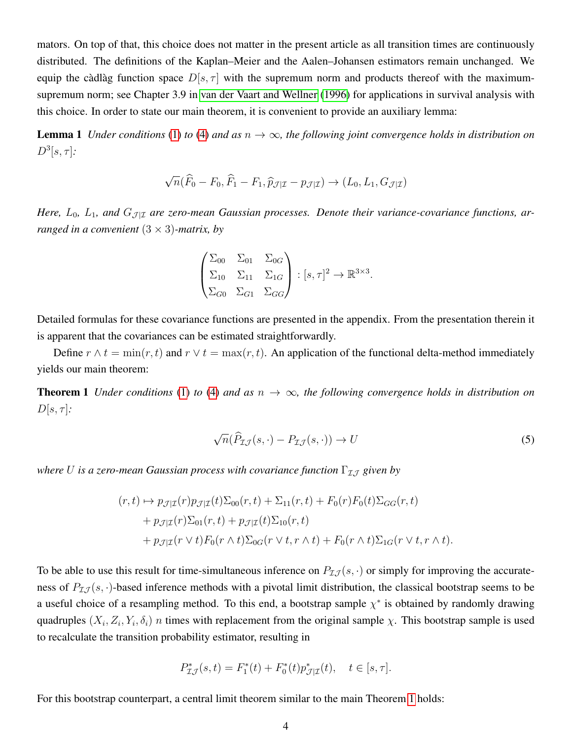mators. On top of that, this choice does not matter in the present article as all transition times are continuously distributed. The definitions of the Kaplan–Meier and the Aalen–Johansen estimators remain unchanged. We equip the càdlàg function space  $D[s, \tau]$  with the supremum norm and products thereof with the maximumsupremum norm; see Chapter 3.9 in [van der Vaart and Wellner](#page-13-6) [\(1996\)](#page-13-6) for applications in survival analysis with this choice. In order to state our main theorem, it is convenient to provide an auxiliary lemma:

**Lemma 1** *Under conditions* [\(1\)](#page-2-0) *to* [\(4\)](#page-2-1) *and as*  $n \to \infty$ *, the following joint convergence holds in distribution on*  $D^3[s,\tau]$ :

$$
\sqrt{n}(\widehat{F}_0 - F_0, \widehat{F}_1 - F_1, \widehat{p}_{\mathcal{J}|\mathcal{I}} - p_{\mathcal{J}|\mathcal{I}}) \to (L_0, L_1, G_{\mathcal{J}|\mathcal{I}})
$$

*Here,*  $L_0$ ,  $L_1$ , and  $G_{\mathcal{J}|\mathcal{I}}$  are zero-mean Gaussian processes. Denote their variance-covariance functions, ar*ranged in a convenient* (3 × 3)*-matrix, by*

<span id="page-3-1"></span>
$$
\begin{pmatrix} \Sigma_{00} & \Sigma_{01} & \Sigma_{0G} \\ \Sigma_{10} & \Sigma_{11} & \Sigma_{1G} \\ \Sigma_{G0} & \Sigma_{G1} & \Sigma_{GG} \end{pmatrix} : [s, \tau]^2 \to \mathbb{R}^{3 \times 3}.
$$

Detailed formulas for these covariance functions are presented in the appendix. From the presentation therein it is apparent that the covariances can be estimated straightforwardly.

Define  $r \wedge t = \min(r, t)$  and  $r \vee t = \max(r, t)$ . An application of the functional delta-method immediately yields our main theorem:

**Theorem 1** *Under conditions* [\(1\)](#page-2-0) *to* [\(4\)](#page-2-1) *and as*  $n \to \infty$ , *the following convergence holds in distribution on*  $D[s, \tau]$ *:* 

<span id="page-3-0"></span>
$$
\sqrt{n}(\widehat{P}_{\mathcal{I}\mathcal{J}}(s,\cdot)-P_{\mathcal{I}\mathcal{J}}(s,\cdot))\to U\tag{5}
$$

*where U is a zero-mean Gaussian process with covariance function*  $\Gamma_{I,J}$  *given by* 

$$
(r,t) \mapsto p_{\mathcal{J}|\mathcal{I}}(r)p_{\mathcal{J}|\mathcal{I}}(t)\Sigma_{00}(r,t) + \Sigma_{11}(r,t) + F_0(r)F_0(t)\Sigma_{GG}(r,t)
$$
  
+ 
$$
p_{\mathcal{J}|\mathcal{I}}(r)\Sigma_{01}(r,t) + p_{\mathcal{J}|\mathcal{I}}(t)\Sigma_{10}(r,t)
$$
  
+ 
$$
p_{\mathcal{J}|\mathcal{I}}(r \vee t)F_0(r \wedge t)\Sigma_{0G}(r \vee t, r \wedge t) + F_0(r \wedge t)\Sigma_{1G}(r \vee t, r \wedge t).
$$

To be able to use this result for time-simultaneous inference on  $P_{I,J}(s, \cdot)$  or simply for improving the accurateness of  $P_{I,J}(s, \cdot)$ -based inference methods with a pivotal limit distribution, the classical bootstrap seems to be a useful choice of a resampling method. To this end, a bootstrap sample  $\chi^*$  is obtained by randomly drawing quadruples  $(X_i, Z_i, Y_i, \delta_i)$  *n* times with replacement from the original sample  $\chi$ . This bootstrap sample is used to recalculate the transition probability estimator, resulting in

$$
P_{\mathcal{I}\mathcal{J}}^{*}(s,t) = F_{1}^{*}(t) + F_{0}^{*}(t)p_{\mathcal{J}|\mathcal{I}}^{*}(t), \quad t \in [s, \tau].
$$

For this bootstrap counterpart, a central limit theorem similar to the main Theorem [1](#page-3-0) holds: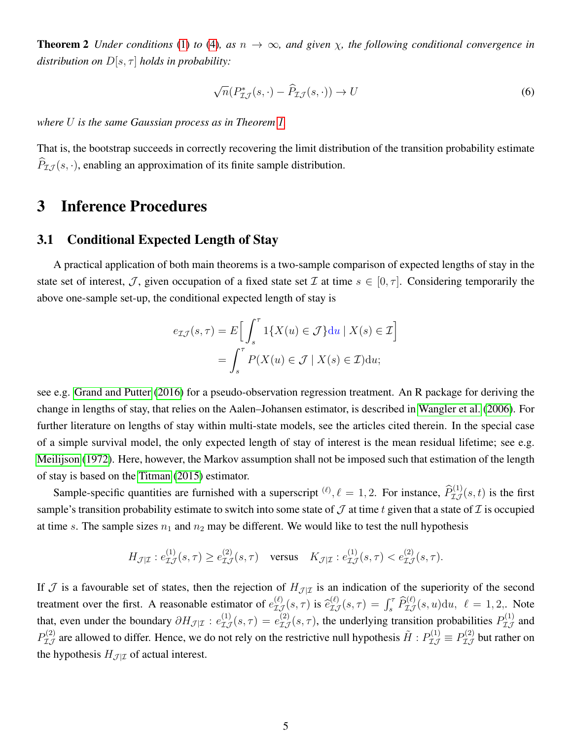**Theorem 2** *Under conditions* [\(1\)](#page-2-0) *to* [\(4\)](#page-2-1)*,* as  $n \to \infty$ *, and given*  $\chi$ *, the following conditional convergence in distribution on*  $D[s, \tau]$  *holds in probability:* 

$$
\sqrt{n}(P_{\mathcal{I}\mathcal{J}}^*(s,\cdot) - \widehat{P}_{\mathcal{I}\mathcal{J}}(s,\cdot)) \to U \tag{6}
$$

*where* U *is the same Gaussian process as in Theorem [1.](#page-3-0)*

That is, the bootstrap succeeds in correctly recovering the limit distribution of the transition probability estimate  $\widehat{P}_{\mathcal{I} \mathcal{I}}(s, \cdot)$ , enabling an approximation of its finite sample distribution.

### 3 Inference Procedures

#### 3.1 Conditional Expected Length of Stay

A practical application of both main theorems is a two-sample comparison of expected lengths of stay in the state set of interest, J, given occupation of a fixed state set I at time  $s \in [0, \tau]$ . Considering temporarily the above one-sample set-up, the conditional expected length of stay is

$$
e_{\mathcal{I}\mathcal{J}}(s,\tau) = E\Big[\int_s^\tau 1\{X(u) \in \mathcal{J}\} \mathrm{d}u \mid X(s) \in \mathcal{I}\Big]
$$

$$
= \int_s^\tau P(X(u) \in \mathcal{J} \mid X(s) \in \mathcal{I}) \mathrm{d}u;
$$

see e.g. [Grand and Putter](#page-13-7) [\(2016\)](#page-13-7) for a pseudo-observation regression treatment. An R package for deriving the change in lengths of stay, that relies on the Aalen–Johansen estimator, is described in [Wangler et al.](#page-13-8) [\(2006\)](#page-13-8). For further literature on lengths of stay within multi-state models, see the articles cited therein. In the special case of a simple survival model, the only expected length of stay of interest is the mean residual lifetime; see e.g. [Meilijson](#page-13-9) [\(1972\)](#page-13-9). Here, however, the Markov assumption shall not be imposed such that estimation of the length of stay is based on the [Titman](#page-13-0) [\(2015\)](#page-13-0) estimator.

Sample-specific quantities are furnished with a superscript  $^{(\ell)}$ ,  $\ell = 1, 2$ . For instance,  $\widehat{P}_{\mathcal{I}\mathcal{J}}^{(1)}(s,t)$  is the first sample's transition probability estimate to switch into some state of  $\mathcal J$  at time t given that a state of  $\mathcal I$  is occupied at time s. The sample sizes  $n_1$  and  $n_2$  may be different. We would like to test the null hypothesis

<span id="page-4-0"></span>
$$
H_{\mathcal{J}|\mathcal{I}}: e^{(1)}_{\mathcal{I}\mathcal{J}}(s,\tau) \ge e^{(2)}_{\mathcal{I}\mathcal{J}}(s,\tau) \quad \text{versus} \quad K_{\mathcal{J}|\mathcal{I}}: e^{(1)}_{\mathcal{I}\mathcal{J}}(s,\tau) < e^{(2)}_{\mathcal{I}\mathcal{J}}(s,\tau).
$$

If  $J$  is a favourable set of states, then the rejection of  $H_{J|I}$  is an indication of the superiority of the second treatment over the first. A reasonable estimator of  $e_{\mathcal{I}\mathcal{J}}^{(\ell)}(s,\tau)$  is  $\hat{e}_{\mathcal{I}\mathcal{J}}^{(\ell)}(s,\tau) = \int_s^{\tau} \hat{P}_{\mathcal{I}\mathcal{J}}^{(\ell)}(s,u)du, \ \ell = 1, 2,$ . Note that, even under the boundary  $\partial H_{\mathcal{J}|\mathcal{I}}: e^{(1)}_{\mathcal{I},\mathcal{J}}(s,\tau)=e^{(2)}_{\mathcal{I},\mathcal{J}}(s,\tau)$ , the underlying transition probabilities  $P^{(1)}_{\mathcal{I},\mathcal{J}}$  and  $P_{\mathcal{I}J}^{(2)}$  are allowed to differ. Hence, we do not rely on the restrictive null hypothesis  $\tilde{H}$  :  $P_{\mathcal{I}J}^{(1)} \equiv P_{\mathcal{I}J}^{(2)}$  but rather on the hypothesis  $H_{\mathcal{J}|\mathcal{I}}$  of actual interest.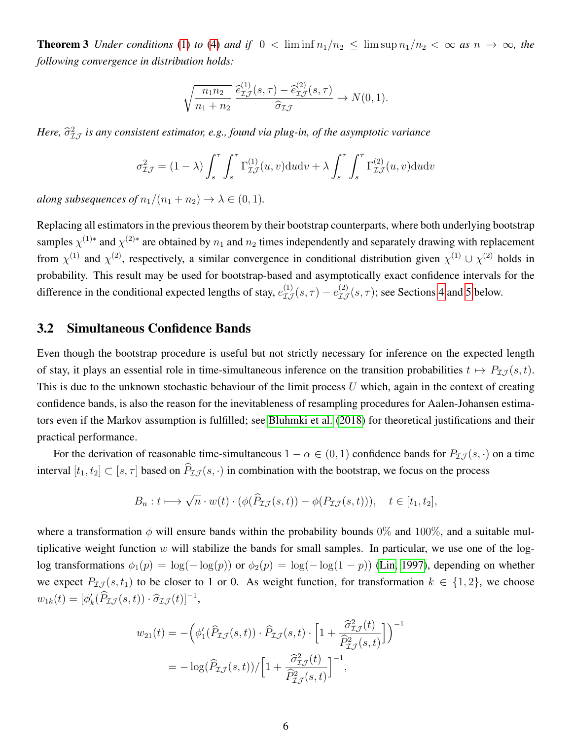**Theorem 3** *Under conditions* [\(1\)](#page-2-0) *to* [\(4\)](#page-2-1) *and if*  $0 < \liminf n_1/n_2 \leq \limsup n_1/n_2 < \infty$  *as*  $n \to \infty$ *, the following convergence in distribution holds:*

$$
\sqrt{\frac{n_1 n_2}{n_1 + n_2}} \frac{\widehat{e}_{\mathcal{I}\mathcal{J}}^{(1)}(s,\tau) - \widehat{e}_{\mathcal{I}\mathcal{J}}^{(2)}(s,\tau)}{\widehat{\sigma}_{\mathcal{I}\mathcal{J}}} \to N(0,1).
$$

Here,  $\widehat{\sigma}_{\mathcal{I} \mathcal{J}}^{2}$  is any consistent estimator, e.g., found via plug-in, of the asymptotic variance

$$
\sigma_{\mathcal{I}\mathcal{J}}^2 = (1 - \lambda) \int_s^\tau \int_s^\tau \Gamma_{\mathcal{I}\mathcal{J}}^{(1)}(u, v) \, du \, dv + \lambda \int_s^\tau \int_s^\tau \Gamma_{\mathcal{I}\mathcal{J}}^{(2)}(u, v) \, du \, dv
$$

*along subsequences of*  $n_1/(n_1 + n_2) \rightarrow \lambda \in (0, 1)$ *.* 

Replacing all estimators in the previous theorem by their bootstrap counterparts, where both underlying bootstrap samples  $\chi^{(1)*}$  and  $\chi^{(2)*}$  are obtained by  $n_1$  and  $n_2$  times independently and separately drawing with replacement from  $\chi^{(1)}$  and  $\chi^{(2)}$ , respectively, a similar convergence in conditional distribution given  $\chi^{(1)} \cup \chi^{(2)}$  holds in probability. This result may be used for bootstrap-based and asymptotically exact confidence intervals for the difference in the conditional expected lengths of stay,  $e^{(1)}_{\mathcal{I}\mathcal{J}}(s,\tau) - e^{(2)}_{\mathcal{I}\mathcal{J}}(s,\tau)$ ; see Sections [4](#page-6-0) and [5](#page-8-0) below.

#### <span id="page-5-0"></span>3.2 Simultaneous Confidence Bands

Even though the bootstrap procedure is useful but not strictly necessary for inference on the expected length of stay, it plays an essential role in time-simultaneous inference on the transition probabilities  $t \mapsto P_{\mathcal{I} \mathcal{J}}(s, t)$ . This is due to the unknown stochastic behaviour of the limit process  $U$  which, again in the context of creating confidence bands, is also the reason for the inevitableness of resampling procedures for Aalen-Johansen estimators even if the Markov assumption is fulfilled; see [Bluhmki et al.](#page-12-6) [\(2018\)](#page-12-6) for theoretical justifications and their practical performance.

For the derivation of reasonable time-simultaneous  $1 - \alpha \in (0, 1)$  confidence bands for  $P_{I,J}(s, \cdot)$  on a time interval  $[t_1, t_2] \subset [s, \tau]$  based on  $\widehat{P}_{\mathcal{I} \mathcal{J}}(s, \cdot)$  in combination with the bootstrap, we focus on the process

$$
B_n: t \longmapsto \sqrt{n} \cdot w(t) \cdot (\phi(\widehat{P}_{\mathcal{I}\mathcal{J}}(s,t)) - \phi(P_{\mathcal{I}\mathcal{J}}(s,t))), \quad t \in [t_1, t_2],
$$

where a transformation  $\phi$  will ensure bands within the probability bounds 0% and 100%, and a suitable multiplicative weight function  $w$  will stabilize the bands for small samples. In particular, we use one of the loglog transformations  $\phi_1(p) = \log(-\log(p))$  or  $\phi_2(p) = \log(-\log(1-p))$  [\(Lin, 1997\)](#page-13-10), depending on whether we expect  $P_{\mathcal{I}J}(s, t_1)$  to be closer to 1 or 0. As weight function, for transformation  $k \in \{1, 2\}$ , we choose  $w_{1k}(t) = [\phi'_k(\widehat{P}_{\mathcal{I}\mathcal{J}}(s,t)) \cdot \widehat{\sigma}_{\mathcal{I}\mathcal{J}}(t)]^{-1},$ 

$$
w_{21}(t) = -\left(\phi'_1(\widehat{P}_{\mathcal{I}\mathcal{J}}(s,t)) \cdot \widehat{P}_{\mathcal{I}\mathcal{J}}(s,t) \cdot \left[1 + \frac{\widehat{\sigma}_{\mathcal{I}\mathcal{J}}^2(t)}{\widehat{P}_{\mathcal{I}\mathcal{J}}^2(s,t)}\right]\right)^{-1}
$$

$$
= -\log(\widehat{P}_{\mathcal{I}\mathcal{J}}(s,t))/\left[1 + \frac{\widehat{\sigma}_{\mathcal{I}\mathcal{J}}^2(t)}{\widehat{P}_{\mathcal{I}\mathcal{J}}^2(s,t)}\right]^{-1},
$$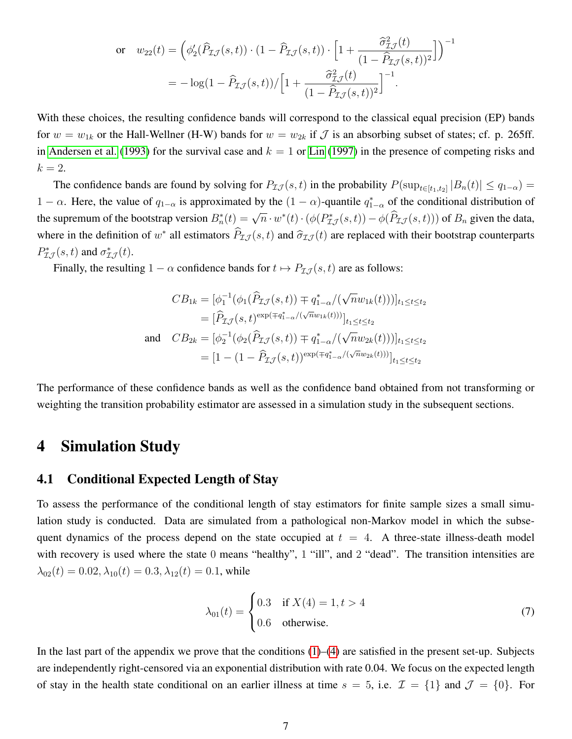$$
\begin{split} \text{or} \quad & w_{22}(t) = \left( \phi_2'(\widehat{P}_{\mathcal{I}\mathcal{J}}(s,t)) \cdot \left( 1 - \widehat{P}_{\mathcal{I}\mathcal{J}}(s,t) \right) \cdot \left[ 1 + \frac{\widehat{\sigma}_{\mathcal{I}\mathcal{J}}^2(t)}{\left( 1 - \widehat{P}_{\mathcal{I}\mathcal{J}}(s,t) \right)^2} \right] \right)^{-1} \\ &= -\log(1 - \widehat{P}_{\mathcal{I}\mathcal{J}}(s,t)) / \left[ 1 + \frac{\widehat{\sigma}_{\mathcal{I}\mathcal{J}}^2(t)}{\left( 1 - \widehat{P}_{\mathcal{I}\mathcal{J}}(s,t) \right)^2} \right]^{-1} . \end{split}
$$

With these choices, the resulting confidence bands will correspond to the classical equal precision (EP) bands for  $w = w_{1k}$  or the Hall-Wellner (H-W) bands for  $w = w_{2k}$  if  $\mathcal J$  is an absorbing subset of states; cf. p. 265ff. in [Andersen et al.](#page-12-0) [\(1993\)](#page-12-0) for the survival case and  $k = 1$  or [Lin](#page-13-10) [\(1997\)](#page-13-10) in the presence of competing risks and  $k=2$ .

The confidence bands are found by solving for  $P_{\mathcal{I}J}(s,t)$  in the probability  $P(\sup_{t\in[t_1,t_2]}|B_n(t)| \leq q_{1-\alpha}) =$ 1 −  $\alpha$ . Here, the value of  $q_{1-\alpha}$  is approximated by the  $(1-\alpha)$ -quantile  $q_{1-\alpha}^*$  of the conditional distribution of the supremum of the bootstrap version  $B_n^*(t) = \sqrt{n} \cdot w^*(t) \cdot (\phi(P_{\mathcal{I}J}^*(s,t)) - \phi(\widehat{P}_{\mathcal{I}J}(s,t)))$  of  $B_n$  given the data, where in the definition of  $w^*$  all estimators  $\hat{P}_{\mathcal{I} \mathcal{J}}(s, t)$  and  $\hat{\sigma}_{\mathcal{I} \mathcal{J}}(t)$  are replaced with their bootstrap counterparts  $P_{\mathcal{I}\mathcal{J}}^{*}(s,t)$  and  $\sigma_{\mathcal{I}\mathcal{J}}^{*}(t)$ .

Finally, the resulting  $1 - \alpha$  confidence bands for  $t \mapsto P_{\mathcal{I} \mathcal{J}}(s, t)$  are as follows:

$$
CB_{1k} = [\phi_1^{-1}(\phi_1(\widehat{P}_{\mathcal{I}\mathcal{J}}(s,t)) \mp q_{1-\alpha}^*/(\sqrt{n}w_{1k}(t)))]_{t_1 \le t \le t_2}
$$
  
\n
$$
= [\widehat{P}_{\mathcal{I}\mathcal{J}}(s,t)^{\exp(\mp q_{1-\alpha}^*/(\sqrt{n}w_{1k}(t)))}]_{t_1 \le t \le t_2}
$$
  
\nand 
$$
CB_{2k} = [\phi_2^{-1}(\phi_2(\widehat{P}_{\mathcal{I}\mathcal{J}}(s,t)) \mp q_{1-\alpha}^*/(\sqrt{n}w_{2k}(t))]_{t_1 \le t \le t_2}
$$
  
\n
$$
= [1 - (1 - \widehat{P}_{\mathcal{I}\mathcal{J}}(s,t))^{\exp(\mp q_{1-\alpha}^*/(\sqrt{n}w_{2k}(t)))}]_{t_1 \le t \le t_2}
$$

The performance of these confidence bands as well as the confidence band obtained from not transforming or weighting the transition probability estimator are assessed in a simulation study in the subsequent sections.

#### <span id="page-6-0"></span>4 Simulation Study

#### 4.1 Conditional Expected Length of Stay

To assess the performance of the conditional length of stay estimators for finite sample sizes a small simulation study is conducted. Data are simulated from a pathological non-Markov model in which the subsequent dynamics of the process depend on the state occupied at  $t = 4$ . A three-state illness-death model with recovery is used where the state 0 means "healthy", 1 "ill", and 2 "dead". The transition intensities are  $\lambda_{02}(t) = 0.02, \lambda_{10}(t) = 0.3, \lambda_{12}(t) = 0.1$ , while

$$
\lambda_{01}(t) = \begin{cases} 0.3 & \text{if } X(4) = 1, t > 4 \\ 0.6 & \text{otherwise.} \end{cases}
$$
 (7)

In the last part of the appendix we prove that the conditions  $(1)$ – $(4)$  are satisfied in the present set-up. Subjects are independently right-censored via an exponential distribution with rate 0.04. We focus on the expected length of stay in the health state conditional on an earlier illness at time  $s = 5$ , i.e.  $\mathcal{I} = \{1\}$  and  $\mathcal{J} = \{0\}$ . For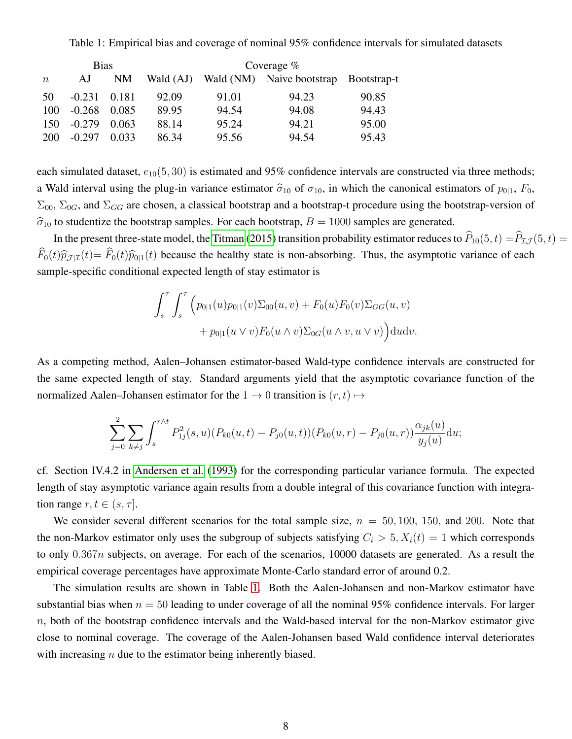Table 1: Empirical bias and coverage of nominal 95% confidence intervals for simulated datasets

<span id="page-7-0"></span>

|                  | <b>Bias</b> |       |           | Coverage $%$ |                                       |       |
|------------------|-------------|-------|-----------|--------------|---------------------------------------|-------|
| $\boldsymbol{n}$ | AJ          | NM    | Wald (AJ) |              | Wald (NM) Naive bootstrap Bootstrap-t |       |
| 50               | $-0.231$    | 0.181 | 92.09     | 91.01        | 94.23                                 | 90.85 |
| 100              | $-0.268$    | 0.085 | 89.95     | 94.54        | 94.08                                 | 94.43 |
| 150              | $-0.279$    | 0.063 | 88.14     | 95.24        | 94.21                                 | 95.00 |
| 200              | $-0.297$    | 0.033 | 86.34     | 95.56        | 94.54                                 | 95.43 |

each simulated dataset,  $e_{10}(5, 30)$  is estimated and 95% confidence intervals are constructed via three methods; a Wald interval using the plug-in variance estimator  $\hat{\sigma}_{10}$  of  $\sigma_{10}$ , in which the canonical estimators of  $p_{0|1}$ ,  $F_0$ ,  $\Sigma_{00}$ ,  $\Sigma_{0G}$ , and  $\Sigma_{GG}$  are chosen, a classical bootstrap and a bootstrap-t procedure using the bootstrap-version of  $\hat{\sigma}_{10}$  to studentize the bootstrap samples. For each bootstrap,  $B = 1000$  samples are generated.

In the present three-state model, the [Titman](#page-13-0) [\(2015\)](#page-13-0) transition probability estimator reduces to  $\hat{P}_{10}(5, t) = \hat{P}_{I,J}(5, t)$  $\widehat{F}_0(t)\widehat{p}_{\mathcal{J}|\mathcal{I}}(t)=\widehat{F}_0(t)\widehat{p}_{0|1}(t)$  because the healthy state is non-absorbing. Thus, the asymptotic variance of each sample-specific conditional expected length of stay estimator is

$$
\int_{s}^{\tau} \int_{s}^{\tau} \Big( p_{0|1}(u) p_{0|1}(v) \Sigma_{00}(u, v) + F_0(u) F_0(v) \Sigma_{GG}(u, v) + p_{0|1}(u \vee v) F_0(u \wedge v) \Sigma_{0G}(u \wedge v, u \vee v) \Big) du dv.
$$

As a competing method, Aalen–Johansen estimator-based Wald-type confidence intervals are constructed for the same expected length of stay. Standard arguments yield that the asymptotic covariance function of the normalized Aalen–Johansen estimator for the  $1 \rightarrow 0$  transition is  $(r, t) \mapsto$ 

$$
\sum_{j=0}^{2} \sum_{k \neq j} \int_{s}^{r \wedge t} P_{1j}^{2}(s, u) (P_{k0}(u, t) - P_{j0}(u, t)) (P_{k0}(u, r) - P_{j0}(u, r)) \frac{\alpha_{jk}(u)}{y_j(u)} du;
$$

cf. Section IV.4.2 in [Andersen et al.](#page-12-0) [\(1993\)](#page-12-0) for the corresponding particular variance formula. The expected length of stay asymptotic variance again results from a double integral of this covariance function with integration range  $r, t \in (s, \tau]$ .

We consider several different scenarios for the total sample size,  $n = 50, 100, 150,$  and 200. Note that the non-Markov estimator only uses the subgroup of subjects satisfying  $C_i > 5$ ,  $X_i(t) = 1$  which corresponds to only  $0.367n$  subjects, on average. For each of the scenarios, 10000 datasets are generated. As a result the empirical coverage percentages have approximate Monte-Carlo standard error of around 0.2.

The simulation results are shown in Table [1.](#page-7-0) Both the Aalen-Johansen and non-Markov estimator have substantial bias when  $n = 50$  leading to under coverage of all the nominal 95% confidence intervals. For larger  $n$ , both of the bootstrap confidence intervals and the Wald-based interval for the non-Markov estimator give close to nominal coverage. The coverage of the Aalen-Johansen based Wald confidence interval deteriorates with increasing  $n$  due to the estimator being inherently biased.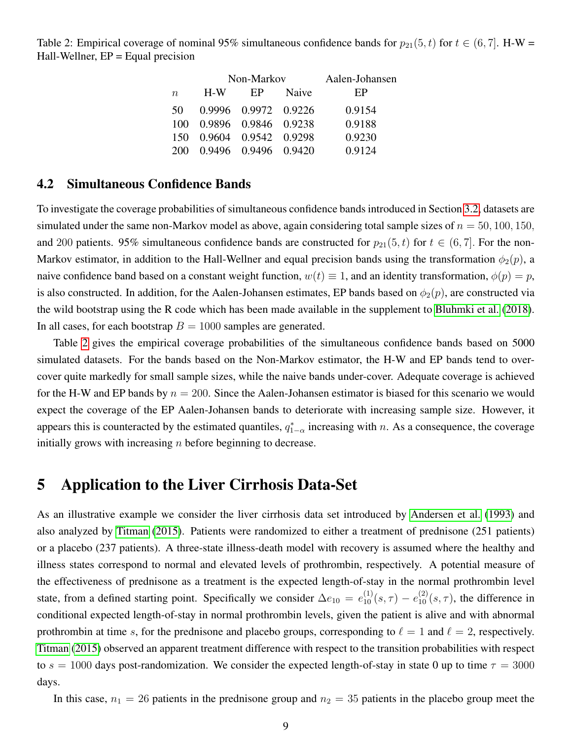<span id="page-8-1"></span>Table 2: Empirical coverage of nominal 95% simultaneous confidence bands for  $p_{21}(5, t)$  for  $t \in (6, 7]$ . H-W = Hall-Wellner,  $EP = Equal precision$ 

|          |                      | Non-Markov           | Aalen-Johansen |        |
|----------|----------------------|----------------------|----------------|--------|
| $\it{n}$ | $H-W$                | EP                   | Naive          | EP     |
| 50       |                      | 0.9996 0.9972 0.9226 |                | 0.9154 |
| 100      | 0.9896 0.9846 0.9238 |                      |                | 0.9188 |
| 150      | 0.9604 0.9542 0.9298 |                      |                | 0.9230 |
| 200      |                      | 0.9496 0.9496 0.9420 |                | 0.9124 |

#### <span id="page-8-2"></span>4.2 Simultaneous Confidence Bands

To investigate the coverage probabilities of simultaneous confidence bands introduced in Section [3.2,](#page-5-0) datasets are simulated under the same non-Markov model as above, again considering total sample sizes of  $n = 50, 100, 150$ , and 200 patients. 95% simultaneous confidence bands are constructed for  $p_{21}(5, t)$  for  $t \in (6, 7]$ . For the non-Markov estimator, in addition to the Hall-Wellner and equal precision bands using the transformation  $\phi_2(p)$ , a naive confidence band based on a constant weight function,  $w(t) \equiv 1$ , and an identity transformation,  $\phi(p) = p$ , is also constructed. In addition, for the Aalen-Johansen estimates, EP bands based on  $\phi_2(p)$ , are constructed via the wild bootstrap using the R code which has been made available in the supplement to [Bluhmki et al.](#page-12-6) [\(2018\)](#page-12-6). In all cases, for each bootstrap  $B = 1000$  samples are generated.

Table [2](#page-8-1) gives the empirical coverage probabilities of the simultaneous confidence bands based on 5000 simulated datasets. For the bands based on the Non-Markov estimator, the H-W and EP bands tend to overcover quite markedly for small sample sizes, while the naive bands under-cover. Adequate coverage is achieved for the H-W and EP bands by  $n = 200$ . Since the Aalen-Johansen estimator is biased for this scenario we would expect the coverage of the EP Aalen-Johansen bands to deteriorate with increasing sample size. However, it appears this is counteracted by the estimated quantiles,  $q_{1-\alpha}^*$  increasing with n. As a consequence, the coverage initially grows with increasing  $n$  before beginning to decrease.

#### <span id="page-8-0"></span>5 Application to the Liver Cirrhosis Data-Set

As an illustrative example we consider the liver cirrhosis data set introduced by [Andersen et al.](#page-12-0) [\(1993\)](#page-12-0) and also analyzed by [Titman](#page-13-0) [\(2015\)](#page-13-0). Patients were randomized to either a treatment of prednisone (251 patients) or a placebo (237 patients). A three-state illness-death model with recovery is assumed where the healthy and illness states correspond to normal and elevated levels of prothrombin, respectively. A potential measure of the effectiveness of prednisone as a treatment is the expected length-of-stay in the normal prothrombin level state, from a defined starting point. Specifically we consider  $\Delta e_{10} = e_{10}^{(1)}(s, \tau) - e_{10}^{(2)}(s, \tau)$ , the difference in conditional expected length-of-stay in normal prothrombin levels, given the patient is alive and with abnormal prothrombin at time s, for the prednisone and placebo groups, corresponding to  $\ell = 1$  and  $\ell = 2$ , respectively. [Titman](#page-13-0) [\(2015\)](#page-13-0) observed an apparent treatment difference with respect to the transition probabilities with respect to  $s = 1000$  days post-randomization. We consider the expected length-of-stay in state 0 up to time  $\tau = 3000$ days.

In this case,  $n_1 = 26$  patients in the prednisone group and  $n_2 = 35$  patients in the placebo group meet the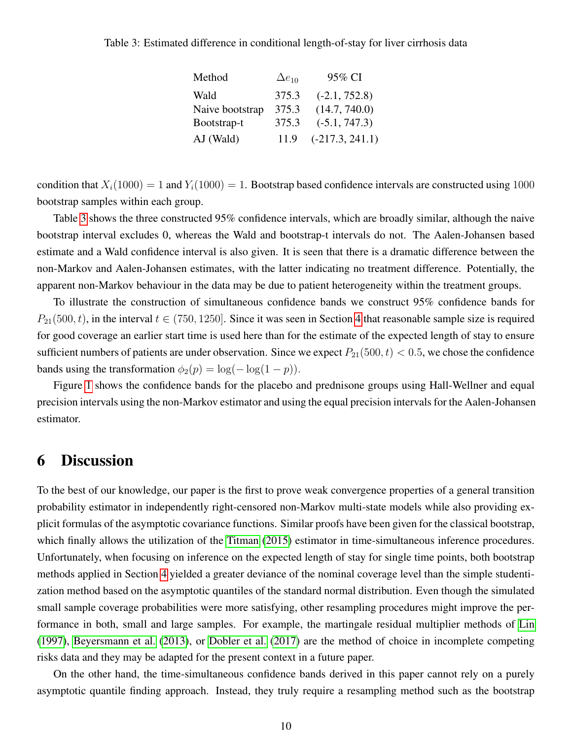#### <span id="page-9-0"></span>Table 3: Estimated difference in conditional length-of-stay for liver cirrhosis data

| Method          | $\Delta e_{10}$ | 95% CI            |
|-----------------|-----------------|-------------------|
| Wald            | 375.3           | $(-2.1, 752.8)$   |
| Naive bootstrap | 375.3           | (14.7, 740.0)     |
| Bootstrap-t     | 375.3           | $(-5.1, 747.3)$   |
| AJ (Wald)       | 11.9            | $(-217.3, 241.1)$ |

condition that  $X_i(1000) = 1$  and  $Y_i(1000) = 1$ . Bootstrap based confidence intervals are constructed using 1000 bootstrap samples within each group.

Table [3](#page-9-0) shows the three constructed 95% confidence intervals, which are broadly similar, although the naive bootstrap interval excludes 0, whereas the Wald and bootstrap-t intervals do not. The Aalen-Johansen based estimate and a Wald confidence interval is also given. It is seen that there is a dramatic difference between the non-Markov and Aalen-Johansen estimates, with the latter indicating no treatment difference. Potentially, the apparent non-Markov behaviour in the data may be due to patient heterogeneity within the treatment groups.

To illustrate the construction of simultaneous confidence bands we construct 95% confidence bands for  $P_{21}(500, t)$ , in the interval  $t \in (750, 1250]$ . Since it was seen in Section [4](#page-6-0) that reasonable sample size is required for good coverage an earlier start time is used here than for the estimate of the expected length of stay to ensure sufficient numbers of patients are under observation. Since we expect  $P_{21}(500, t) < 0.5$ , we chose the confidence bands using the transformation  $\phi_2(p) = \log(-\log(1-p)).$ 

Figure [1](#page-10-0) shows the confidence bands for the placebo and prednisone groups using Hall-Wellner and equal precision intervals using the non-Markov estimator and using the equal precision intervals for the Aalen-Johansen estimator.

## 6 Discussion

To the best of our knowledge, our paper is the first to prove weak convergence properties of a general transition probability estimator in independently right-censored non-Markov multi-state models while also providing explicit formulas of the asymptotic covariance functions. Similar proofs have been given for the classical bootstrap, which finally allows the utilization of the [Titman](#page-13-0) [\(2015\)](#page-13-0) estimator in time-simultaneous inference procedures. Unfortunately, when focusing on inference on the expected length of stay for single time points, both bootstrap methods applied in Section [4](#page-6-0) yielded a greater deviance of the nominal coverage level than the simple studentization method based on the asymptotic quantiles of the standard normal distribution. Even though the simulated small sample coverage probabilities were more satisfying, other resampling procedures might improve the performance in both, small and large samples. For example, the martingale residual multiplier methods of [Lin](#page-13-10) [\(1997\)](#page-13-10), [Beyersmann et al.](#page-12-7) [\(2013\)](#page-12-7), or [Dobler et al.](#page-12-8) [\(2017\)](#page-12-8) are the method of choice in incomplete competing risks data and they may be adapted for the present context in a future paper.

On the other hand, the time-simultaneous confidence bands derived in this paper cannot rely on a purely asymptotic quantile finding approach. Instead, they truly require a resampling method such as the bootstrap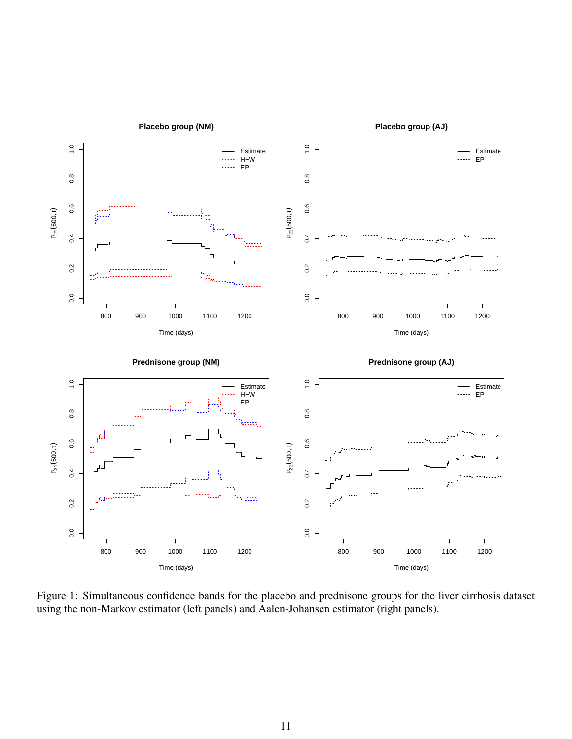<span id="page-10-0"></span>

Figure 1: Simultaneous confidence bands for the placebo and prednisone groups for the liver cirrhosis dataset using the non-Markov estimator (left panels) and Aalen-Johansen estimator (right panels).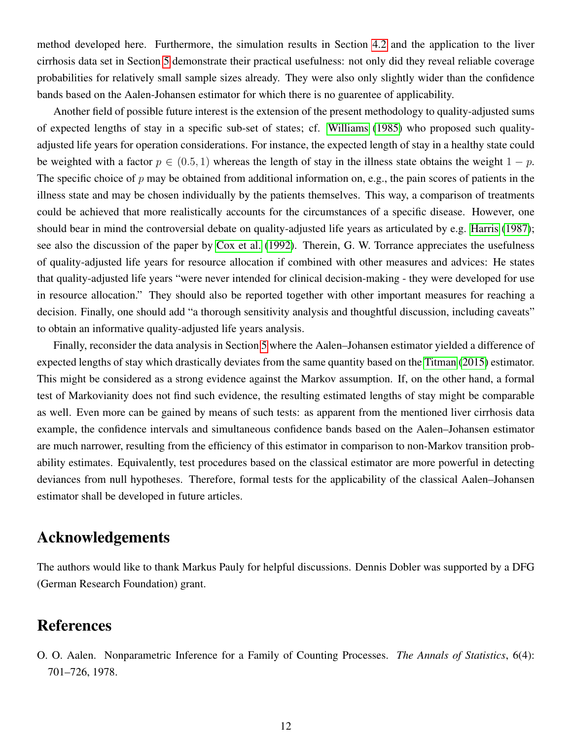method developed here. Furthermore, the simulation results in Section [4.2](#page-8-2) and the application to the liver cirrhosis data set in Section [5](#page-8-0) demonstrate their practical usefulness: not only did they reveal reliable coverage probabilities for relatively small sample sizes already. They were also only slightly wider than the confidence bands based on the Aalen-Johansen estimator for which there is no guarentee of applicability.

Another field of possible future interest is the extension of the present methodology to quality-adjusted sums of expected lengths of stay in a specific sub-set of states; cf. [Williams](#page-13-11) [\(1985\)](#page-13-11) who proposed such qualityadjusted life years for operation considerations. For instance, the expected length of stay in a healthy state could be weighted with a factor  $p \in (0.5, 1)$  whereas the length of stay in the illness state obtains the weight  $1 - p$ . The specific choice of  $p$  may be obtained from additional information on, e.g., the pain scores of patients in the illness state and may be chosen individually by the patients themselves. This way, a comparison of treatments could be achieved that more realistically accounts for the circumstances of a specific disease. However, one should bear in mind the controversial debate on quality-adjusted life years as articulated by e.g. [Harris](#page-13-12) [\(1987\)](#page-13-12); see also the discussion of the paper by [Cox et al.](#page-12-9) [\(1992\)](#page-12-9). Therein, G. W. Torrance appreciates the usefulness of quality-adjusted life years for resource allocation if combined with other measures and advices: He states that quality-adjusted life years "were never intended for clinical decision-making - they were developed for use in resource allocation." They should also be reported together with other important measures for reaching a decision. Finally, one should add "a thorough sensitivity analysis and thoughtful discussion, including caveats" to obtain an informative quality-adjusted life years analysis.

Finally, reconsider the data analysis in Section [5](#page-8-0) where the Aalen–Johansen estimator yielded a difference of expected lengths of stay which drastically deviates from the same quantity based on the [Titman](#page-13-0) [\(2015\)](#page-13-0) estimator. This might be considered as a strong evidence against the Markov assumption. If, on the other hand, a formal test of Markovianity does not find such evidence, the resulting estimated lengths of stay might be comparable as well. Even more can be gained by means of such tests: as apparent from the mentioned liver cirrhosis data example, the confidence intervals and simultaneous confidence bands based on the Aalen–Johansen estimator are much narrower, resulting from the efficiency of this estimator in comparison to non-Markov transition probability estimates. Equivalently, test procedures based on the classical estimator are more powerful in detecting deviances from null hypotheses. Therefore, formal tests for the applicability of the classical Aalen–Johansen estimator shall be developed in future articles.

### Acknowledgements

The authors would like to thank Markus Pauly for helpful discussions. Dennis Dobler was supported by a DFG (German Research Foundation) grant.

### References

<span id="page-11-0"></span>O. O. Aalen. Nonparametric Inference for a Family of Counting Processes. *The Annals of Statistics*, 6(4): 701–726, 1978.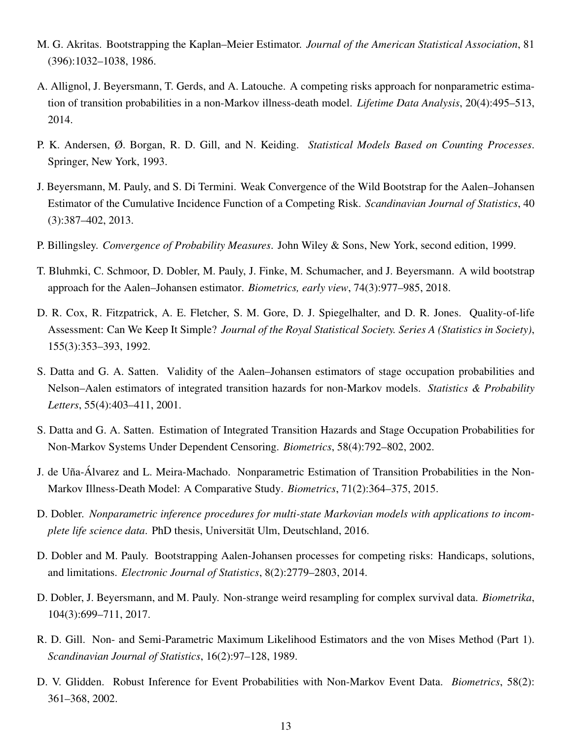- <span id="page-12-11"></span>M. G. Akritas. Bootstrapping the Kaplan–Meier Estimator. *Journal of the American Statistical Association*, 81 (396):1032–1038, 1986.
- <span id="page-12-5"></span>A. Allignol, J. Beyersmann, T. Gerds, and A. Latouche. A competing risks approach for nonparametric estimation of transition probabilities in a non-Markov illness-death model. *Lifetime Data Analysis*, 20(4):495–513, 2014.
- <span id="page-12-0"></span>P. K. Andersen, Ø. Borgan, R. D. Gill, and N. Keiding. *Statistical Models Based on Counting Processes*. Springer, New York, 1993.
- <span id="page-12-7"></span>J. Beyersmann, M. Pauly, and S. Di Termini. Weak Convergence of the Wild Bootstrap for the Aalen–Johansen Estimator of the Cumulative Incidence Function of a Competing Risk. *Scandinavian Journal of Statistics*, 40 (3):387–402, 2013.
- <span id="page-12-12"></span>P. Billingsley. *Convergence of Probability Measures*. John Wiley & Sons, New York, second edition, 1999.
- <span id="page-12-6"></span>T. Bluhmki, C. Schmoor, D. Dobler, M. Pauly, J. Finke, M. Schumacher, and J. Beyersmann. A wild bootstrap approach for the Aalen–Johansen estimator. *Biometrics, early view*, 74(3):977–985, 2018.
- <span id="page-12-9"></span>D. R. Cox, R. Fitzpatrick, A. E. Fletcher, S. M. Gore, D. J. Spiegelhalter, and D. R. Jones. Quality-of-life Assessment: Can We Keep It Simple? *Journal of the Royal Statistical Society. Series A (Statistics in Society)*, 155(3):353–393, 1992.
- <span id="page-12-1"></span>S. Datta and G. A. Satten. Validity of the Aalen–Johansen estimators of stage occupation probabilities and Nelson–Aalen estimators of integrated transition hazards for non-Markov models. *Statistics & Probability Letters*, 55(4):403–411, 2001.
- <span id="page-12-2"></span>S. Datta and G. A. Satten. Estimation of Integrated Transition Hazards and Stage Occupation Probabilities for Non-Markov Systems Under Dependent Censoring. *Biometrics*, 58(4):792–802, 2002.
- <span id="page-12-4"></span>J. de Uña-Álvarez and L. Meira-Machado. Nonparametric Estimation of Transition Probabilities in the Non-Markov Illness-Death Model: A Comparative Study. *Biometrics*, 71(2):364–375, 2015.
- <span id="page-12-13"></span>D. Dobler. *Nonparametric inference procedures for multi-state Markovian models with applications to incomplete life science data*. PhD thesis, Universitat Ulm, Deutschland, 2016. ¨
- <span id="page-12-14"></span>D. Dobler and M. Pauly. Bootstrapping Aalen-Johansen processes for competing risks: Handicaps, solutions, and limitations. *Electronic Journal of Statistics*, 8(2):2779–2803, 2014.
- <span id="page-12-8"></span>D. Dobler, J. Beyersmann, and M. Pauly. Non-strange weird resampling for complex survival data. *Biometrika*, 104(3):699–711, 2017.
- <span id="page-12-10"></span>R. D. Gill. Non- and Semi-Parametric Maximum Likelihood Estimators and the von Mises Method (Part 1). *Scandinavian Journal of Statistics*, 16(2):97–128, 1989.
- <span id="page-12-3"></span>D. V. Glidden. Robust Inference for Event Probabilities with Non-Markov Event Data. *Biometrics*, 58(2): 361–368, 2002.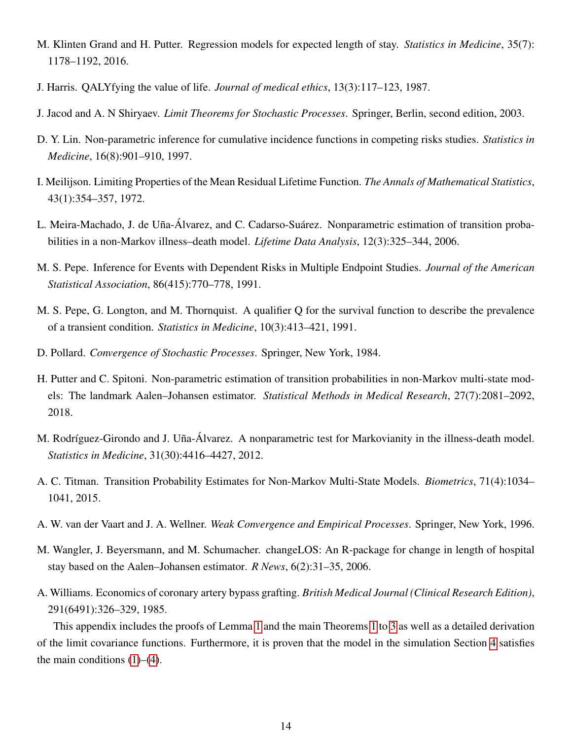- <span id="page-13-7"></span>M. Klinten Grand and H. Putter. Regression models for expected length of stay. *Statistics in Medicine*, 35(7): 1178–1192, 2016.
- <span id="page-13-12"></span>J. Harris. QALYfying the value of life. *Journal of medical ethics*, 13(3):117–123, 1987.
- <span id="page-13-14"></span>J. Jacod and A. N Shiryaev. *Limit Theorems for Stochastic Processes*. Springer, Berlin, second edition, 2003.
- <span id="page-13-10"></span>D. Y. Lin. Non-parametric inference for cumulative incidence functions in competing risks studies. *Statistics in Medicine*, 16(8):901–910, 1997.
- <span id="page-13-9"></span>I. Meilijson. Limiting Properties of the Mean Residual Lifetime Function. *The Annals of Mathematical Statistics*, 43(1):354–357, 1972.
- <span id="page-13-3"></span>L. Meira-Machado, J. de Uña-Álvarez, and C. Cadarso-Suárez. Nonparametric estimation of transition probabilities in a non-Markov illness–death model. *Lifetime Data Analysis*, 12(3):325–344, 2006.
- <span id="page-13-2"></span>M. S. Pepe. Inference for Events with Dependent Risks in Multiple Endpoint Studies. *Journal of the American Statistical Association*, 86(415):770–778, 1991.
- <span id="page-13-1"></span>M. S. Pepe, G. Longton, and M. Thornquist. A qualifier Q for the survival function to describe the prevalence of a transient condition. *Statistics in Medicine*, 10(3):413–421, 1991.
- <span id="page-13-13"></span>D. Pollard. *Convergence of Stochastic Processes*. Springer, New York, 1984.
- <span id="page-13-5"></span>H. Putter and C. Spitoni. Non-parametric estimation of transition probabilities in non-Markov multi-state models: The landmark Aalen–Johansen estimator. *Statistical Methods in Medical Research*, 27(7):2081–2092, 2018.
- <span id="page-13-4"></span>M. Rodríguez-Girondo and J. Uña-Álvarez. A nonparametric test for Markovianity in the illness-death model. *Statistics in Medicine*, 31(30):4416–4427, 2012.
- <span id="page-13-0"></span>A. C. Titman. Transition Probability Estimates for Non-Markov Multi-State Models. *Biometrics*, 71(4):1034– 1041, 2015.
- <span id="page-13-6"></span>A. W. van der Vaart and J. A. Wellner. *Weak Convergence and Empirical Processes*. Springer, New York, 1996.
- <span id="page-13-8"></span>M. Wangler, J. Beyersmann, and M. Schumacher. changeLOS: An R-package for change in length of hospital stay based on the Aalen–Johansen estimator. *R News*, 6(2):31–35, 2006.
- <span id="page-13-11"></span>A. Williams. Economics of coronary artery bypass grafting. *British Medical Journal (Clinical Research Edition)*, 291(6491):326–329, 1985.

This appendix includes the proofs of Lemma [1](#page-3-1) and the main Theorems [1](#page-3-0) to [3](#page-4-0) as well as a detailed derivation of the limit covariance functions. Furthermore, it is proven that the model in the simulation Section [4](#page-6-0) satisfies the main conditions  $(1)$ – $(4)$ .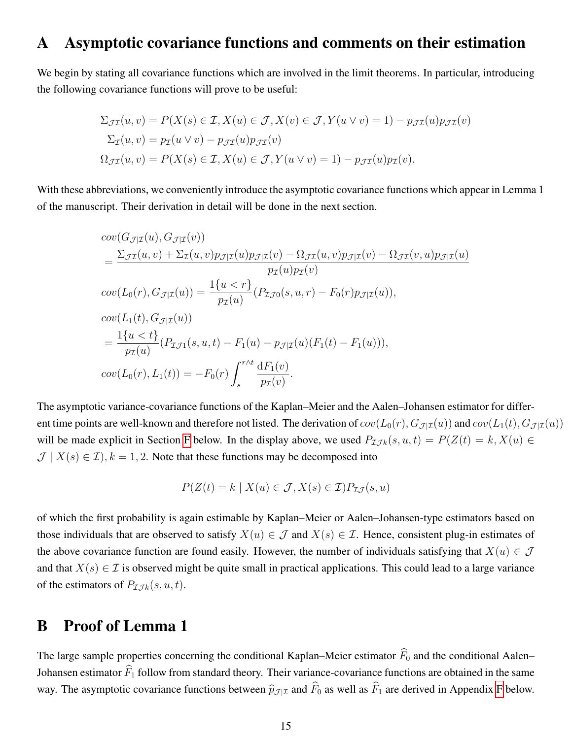#### A Asymptotic covariance functions and comments on their estimation

We begin by stating all covariance functions which are involved in the limit theorems. In particular, introducing the following covariance functions will prove to be useful:

$$
\Sigma_{\mathcal{J}\mathcal{I}}(u, v) = P(X(s) \in \mathcal{I}, X(u) \in \mathcal{J}, X(v) \in \mathcal{J}, Y(u \lor v) = 1) - p_{\mathcal{J}\mathcal{I}}(u)p_{\mathcal{J}\mathcal{I}}(v)
$$

$$
\Sigma_{\mathcal{I}}(u, v) = p_{\mathcal{I}}(u \lor v) - p_{\mathcal{J}\mathcal{I}}(u)p_{\mathcal{J}\mathcal{I}}(v)
$$

$$
\Omega_{\mathcal{J}\mathcal{I}}(u, v) = P(X(s) \in \mathcal{I}, X(u) \in \mathcal{J}, Y(u \lor v) = 1) - p_{\mathcal{J}\mathcal{I}}(u)p_{\mathcal{I}}(v).
$$

With these abbreviations, we conveniently introduce the asymptotic covariance functions which appear in Lemma 1 of the manuscript. Their derivation in detail will be done in the next section.

$$
cov(G_{\mathcal{J}|\mathcal{I}}(u), G_{\mathcal{J}|\mathcal{I}}(v))
$$
\n
$$
= \frac{\sum_{\mathcal{J}\mathcal{I}}(u, v) + \sum_{\mathcal{I}}(u, v)p_{\mathcal{J}|\mathcal{I}}(u)p_{\mathcal{I}|\mathcal{I}}(v) - \Omega_{\mathcal{J}\mathcal{I}}(u, v)p_{\mathcal{J}|\mathcal{I}}(v) - \Omega_{\mathcal{J}\mathcal{I}}(v, u)p_{\mathcal{J}|\mathcal{I}}(u)}{p_{\mathcal{I}}(u)p_{\mathcal{I}}(v)}
$$
\n
$$
cov(L_0(r), G_{\mathcal{J}|\mathcal{I}}(u)) = \frac{1\{u < r\}}{p_{\mathcal{I}}(u)} (P_{\mathcal{I},\mathcal{J}0}(s, u, r) - F_0(r)p_{\mathcal{J}|\mathcal{I}}(u)),
$$
\n
$$
cov(L_1(t), G_{\mathcal{J}|\mathcal{I}}(u))
$$
\n
$$
= \frac{1\{u < t\}}{p_{\mathcal{I}}(u)} (P_{\mathcal{I},\mathcal{J}1}(s, u, t) - F_1(u) - p_{\mathcal{J}|\mathcal{I}}(u)(F_1(t) - F_1(u))),
$$
\n
$$
cov(L_0(r), L_1(t)) = -F_0(r) \int_s^{r \wedge t} \frac{dF_1(v)}{p_{\mathcal{I}}(v)}.
$$

The asymptotic variance-covariance functions of the Kaplan–Meier and the Aalen–Johansen estimator for different time points are well-known and therefore not listed. The derivation of  $cov(L_0(r), G_{\mathcal{I}|\mathcal{I}}(u))$  and  $cov(L_1(t), G_{\mathcal{I}|\mathcal{I}}(u))$ will be made explicit in Section [F](#page-24-0) below. In the display above, we used  $P_{\mathcal{I}Jk}(s, u, t) = P(Z(t) = k, X(u))$  $\mathcal{J}$  |  $X(s) \in \mathcal{I}$ ),  $k = 1, 2$ . Note that these functions may be decomposed into

$$
P(Z(t) = k \mid X(u) \in \mathcal{J}, X(s) \in \mathcal{I})P_{\mathcal{I}\mathcal{J}}(s, u)
$$

of which the first probability is again estimable by Kaplan–Meier or Aalen–Johansen-type estimators based on those individuals that are observed to satisfy  $X(u) \in \mathcal{J}$  and  $X(s) \in \mathcal{I}$ . Hence, consistent plug-in estimates of the above covariance function are found easily. However, the number of individuals satisfying that  $X(u) \in \mathcal{J}$ and that  $X(s) \in \mathcal{I}$  is observed might be quite small in practical applications. This could lead to a large variance of the estimators of  $P_{\mathcal{I}Jk}(s, u, t)$ .

#### <span id="page-14-0"></span>B Proof of Lemma 1

The large sample properties concerning the conditional Kaplan–Meier estimator  $\widehat{F}_0$  and the conditional Aalen– Johansen estimator  $\widehat{F}_1$  follow from standard theory. Their variance-covariance functions are obtained in the same way. The asymptotic covariance functions between  $\hat{p}_{J|I}$  and  $\hat{F}_0$  as well as  $\hat{F}_1$  are derived in Appendix [F](#page-24-0) below.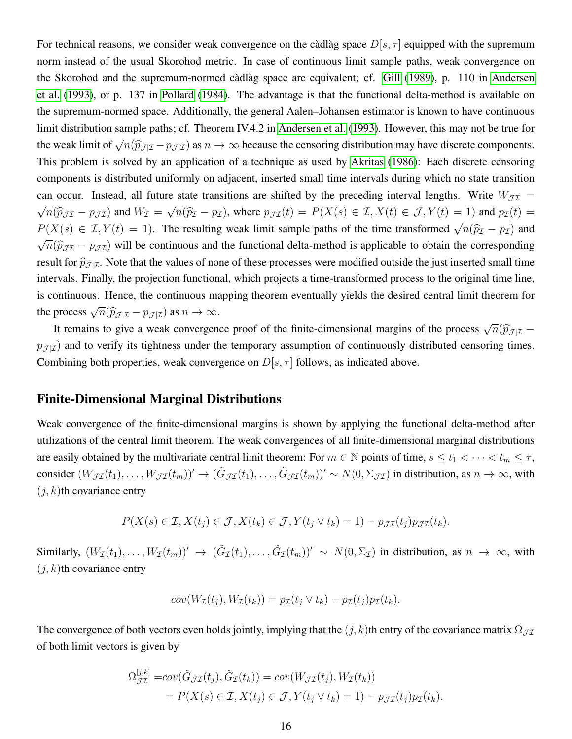For technical reasons, we consider weak convergence on the càdlàg space  $D[s, \tau]$  equipped with the supremum norm instead of the usual Skorohod metric. In case of continuous limit sample paths, weak convergence on the Skorohod and the supremum-normed càdlàg space are equivalent; cf. [Gill](#page-12-10) [\(1989\)](#page-12-10), p. 110 in [Andersen](#page-12-0) [et al.](#page-12-0) [\(1993\)](#page-12-0), or p. 137 in [Pollard](#page-13-13) [\(1984\)](#page-13-13). The advantage is that the functional delta-method is available on the supremum-normed space. Additionally, the general Aalen–Johansen estimator is known to have continuous limit distribution sample paths; cf. Theorem IV.4.2 in [Andersen et al.](#page-12-0) [\(1993\)](#page-12-0). However, this may not be true for the weak limit of  $\sqrt{ }$  $\overline{n}(\widehat{p}_{\mathcal{J}|\mathcal{I}} - p_{\mathcal{J}|\mathcal{I}})$  as  $n \to \infty$  because the censoring distribution may have discrete components. This problem is solved by an application of a technique as used by [Akritas](#page-12-11) [\(1986\)](#page-12-11): Each discrete censoring components is distributed uniformly on adjacent, inserted small time intervals during which no state transition can occur. Instead, all future state transitions are shifted by the preceding interval lengths. Write  $W_{\mathcal{II}} =$ √  $\overline{n}(\widehat{p}_{\mathcal{J}I} - p_{\mathcal{J}I})$  and  $W_I =$ √  $\overline{n}(\widehat{p}_{\mathcal{I}} - p_{\mathcal{I}})$ , where  $p_{\mathcal{J}\mathcal{I}}(t) = P(X(s) \in \mathcal{I}, X(t) \in \mathcal{J}, Y(t) = 1)$  and  $p_{\mathcal{I}}(t) =$ <sup>P</sup>(X(s) ∈ I, Y (t) = 1). The resulting weak limit sample paths of the time transformed <sup>√</sup>  $\overline{n}(\widehat{p}_{\mathcal{I}} - p_{\mathcal{I}})$  and √  $\overline{n}(\hat{p}_{\mathcal{J}\mathcal{I}} - p_{\mathcal{J}\mathcal{I}})$  will be continuous and the functional delta-method is applicable to obtain the corresponding result for  $\hat{p}_{J|\mathcal{I}}$ . Note that the values of none of these processes were modified outside the just inserted small time intervals. Finally, the projection functional, which projects a time-transformed process to the original time line, is continuous. Hence, the continuous mapping theorem eventually yields the desired central limit theorem for the process  $\sqrt$  $\overline{n}(\widehat{p}_{\mathcal{J}|\mathcal{I}} - p_{\mathcal{J}|\mathcal{I}})$  as  $n \to \infty$ .

It remains to give a weak convergence proof of the finite-dimensional margins of the process  $\sqrt{\frac{1}{n}}$  $\overline{n}$ ( $\widehat{p}_{\mathcal{J} | \mathcal{I}}$  –  $p_{\mathcal{J}|\mathcal{I}}$ ) and to verify its tightness under the temporary assumption of continuously distributed censoring times. Combining both properties, weak convergence on  $D[s, \tau]$  follows, as indicated above.

#### Finite-Dimensional Marginal Distributions

Weak convergence of the finite-dimensional margins is shown by applying the functional delta-method after utilizations of the central limit theorem. The weak convergences of all finite-dimensional marginal distributions are easily obtained by the multivariate central limit theorem: For  $m \in \mathbb{N}$  points of time,  $s \le t_1 < \cdots < t_m \le \tau$ , consider  $(W_{\mathcal{JI}}(t_1), \ldots, W_{\mathcal{JI}}(t_m))' \to (\tilde{G}_{\mathcal{JI}}(t_1), \ldots, \tilde{G}_{\mathcal{JI}}(t_m))' \sim N(0, \Sigma_{\mathcal{JI}})$  in distribution, as  $n \to \infty$ , with  $(j, k)$ th covariance entry

$$
P(X(s) \in \mathcal{I}, X(t_j) \in \mathcal{J}, X(t_k) \in \mathcal{J}, Y(t_j \vee t_k) = 1) - p_{\mathcal{J}\mathcal{I}}(t_j) p_{\mathcal{J}\mathcal{I}}(t_k).
$$

Similarly,  $(W_{\mathcal{I}}(t_1),...,W_{\mathcal{I}}(t_m))' \to (\tilde{G}_{\mathcal{I}}(t_1),...,\tilde{G}_{\mathcal{I}}(t_m))' \sim N(0,\Sigma_{\mathcal{I}})$  in distribution, as  $n \to \infty$ , with  $(j, k)$ th covariance entry

$$
cov(W_{\mathcal{I}}(t_j), W_{\mathcal{I}}(t_k)) = p_{\mathcal{I}}(t_j \vee t_k) - p_{\mathcal{I}}(t_j) p_{\mathcal{I}}(t_k).
$$

The convergence of both vectors even holds jointly, implying that the  $(j, k)$ th entry of the covariance matrix  $\Omega_{J\mathcal{I}}$ of both limit vectors is given by

$$
\Omega_{\mathcal{J}\mathcal{I}}^{[j,k]} = cov(\tilde{G}_{\mathcal{J}\mathcal{I}}(t_j), \tilde{G}_{\mathcal{I}}(t_k)) = cov(W_{\mathcal{J}\mathcal{I}}(t_j), W_{\mathcal{I}}(t_k))
$$
  
=  $P(X(s) \in \mathcal{I}, X(t_j) \in \mathcal{J}, Y(t_j \vee t_k) = 1) - p_{\mathcal{J}\mathcal{I}}(t_j) p_{\mathcal{I}}(t_k).$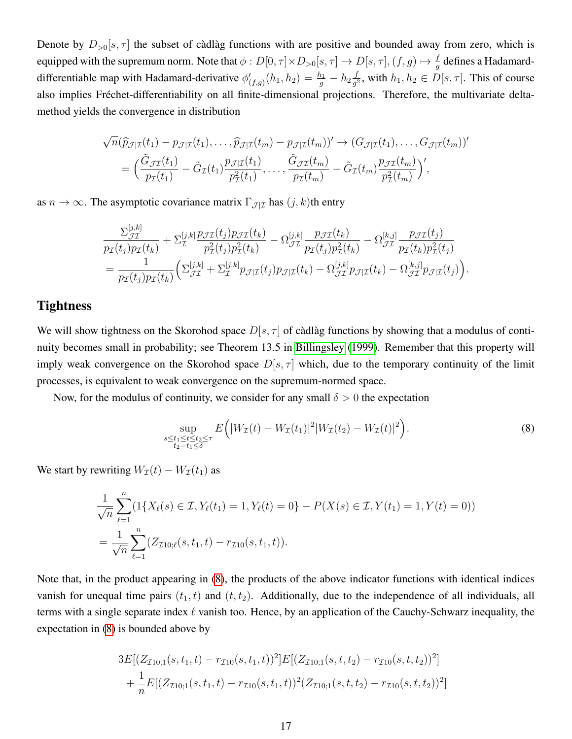Denote by  $D_{>0}[s, \tau]$  the subset of càdlàg functions with are positive and bounded away from zero, which is equipped with the supremum norm. Note that  $\phi: D[0,\tau]\times D_{>0}[s,\tau]\to D[s,\tau],(f,g)\mapsto \frac{f}{g}$  defines a Hadamarddifferentiable map with Hadamard-derivative  $\phi'_{(f,g)}(h_1, h_2) = \frac{h_1}{g} - h_2 \frac{f}{g^2}$  $\frac{f}{g^2}$ , with  $h_1, h_2 \in D[s, \tau]$ . This of course also implies Fréchet-differentiability on all finite-dimensional projections. Therefore, the multivariate deltamethod yields the convergence in distribution

$$
\sqrt{n}(\widehat{p}_{\mathcal{J}|\mathcal{I}}(t_1) - p_{\mathcal{J}|\mathcal{I}}(t_1), \dots, \widehat{p}_{\mathcal{J}|\mathcal{I}}(t_m) - p_{\mathcal{J}|\mathcal{I}}(t_m))' \rightarrow (G_{\mathcal{J}|\mathcal{I}}(t_1), \dots, G_{\mathcal{J}|\mathcal{I}}(t_m))'
$$
  
= 
$$
\Big(\frac{\tilde{G}_{\mathcal{J}\mathcal{I}}(t_1)}{p_{\mathcal{I}}(t_1)} - \tilde{G}_{\mathcal{I}}(t_1) \frac{p_{\mathcal{J}|\mathcal{I}}(t_1)}{p_{\mathcal{I}}^2(t_1)}, \dots, \frac{\tilde{G}_{\mathcal{J}\mathcal{I}}(t_m)}{p_{\mathcal{I}}(t_m)} - \tilde{G}_{\mathcal{I}}(t_m) \frac{p_{\mathcal{J}\mathcal{I}}(t_m)}{p_{\mathcal{I}}^2(t_m)}\Big)',
$$

as  $n \to \infty$ . The asymptotic covariance matrix  $\Gamma_{\mathcal{J}|\mathcal{I}}$  has  $(j, k)$ th entry

$$
\frac{\Sigma_{\mathcal{J}\mathcal{I}}^{[j,k]}}{p_{\mathcal{I}}(t_j)p_{\mathcal{I}}(t_k)} + \Sigma_{\mathcal{I}}^{[j,k]}\frac{p_{\mathcal{J}\mathcal{I}}(t_j)p_{\mathcal{I}}(t_k)}{p_{\mathcal{I}}^2(t_j)p_{\mathcal{I}}^2(t_k)} - \Omega_{\mathcal{J}\mathcal{I}}^{[j,k]}\frac{p_{\mathcal{J}\mathcal{I}}(t_k)}{p_{\mathcal{I}}(t_j)p_{\mathcal{I}}^2(t_k)} - \Omega_{\mathcal{J}\mathcal{I}}^{[k,j]}\frac{p_{\mathcal{J}\mathcal{I}}(t_j)}{p_{\mathcal{I}}(t_k)p_{\mathcal{I}}^2(t_j)} = \frac{1}{p_{\mathcal{I}}(t_j)p_{\mathcal{I}}(t_k)} \Big(\Sigma_{\mathcal{J}\mathcal{I}}^{[j,k]} + \Sigma_{\mathcal{I}}^{[j,k]}p_{\mathcal{J}|\mathcal{I}}(t_j)p_{\mathcal{J}|\mathcal{I}}(t_k) - \Omega_{\mathcal{J}\mathcal{I}}^{[j,k]}p_{\mathcal{J}|\mathcal{I}}(t_k) - \Omega_{\mathcal{J}\mathcal{I}}^{[k,j]}p_{\mathcal{J}|\mathcal{I}}(t_j)\Big).
$$

#### **Tightness**

We will show tightness on the Skorohod space  $D[s, \tau]$  of càdlàg functions by showing that a modulus of continuity becomes small in probability; see Theorem 13.5 in [Billingsley](#page-12-12) [\(1999\)](#page-12-12). Remember that this property will imply weak convergence on the Skorohod space  $D[s, \tau]$  which, due to the temporary continuity of the limit processes, is equivalent to weak convergence on the supremum-normed space.

Now, for the modulus of continuity, we consider for any small  $\delta > 0$  the expectation

<span id="page-16-0"></span>
$$
\sup_{\substack{s \le t_1 \le t \le t_2 \le \tau \\ t_2 - t_1 \le \delta}} E\Big( |W_\mathcal{I}(t) - W_\mathcal{I}(t_1)|^2 |W_\mathcal{I}(t_2) - W_\mathcal{I}(t)|^2 \Big). \tag{8}
$$

We start by rewriting  $W_{\mathcal{I}}(t) - W_{\mathcal{I}}(t_1)$  as

$$
\frac{1}{\sqrt{n}} \sum_{\ell=1}^{n} (1\{X_{\ell}(s) \in \mathcal{I}, Y_{\ell}(t_1) = 1, Y_{\ell}(t) = 0\} - P(X(s) \in \mathcal{I}, Y(t_1) = 1, Y(t) = 0))
$$
  
= 
$$
\frac{1}{\sqrt{n}} \sum_{\ell=1}^{n} (Z_{\mathcal{I}10;\ell}(s,t_1,t) - r_{\mathcal{I}10}(s,t_1,t)).
$$

Note that, in the product appearing in [\(8\)](#page-16-0), the products of the above indicator functions with identical indices vanish for unequal time pairs  $(t_1, t)$  and  $(t, t_2)$ . Additionally, due to the independence of all individuals, all terms with a single separate index  $\ell$  vanish too. Hence, by an application of the Cauchy-Schwarz inequality, the expectation in [\(8\)](#page-16-0) is bounded above by

$$
3E[(Z_{\mathcal{I}10;1}(s,t_1,t)-r_{\mathcal{I}10}(s,t_1,t))^2]E[(Z_{\mathcal{I}10;1}(s,t,t_2)-r_{\mathcal{I}10}(s,t,t_2))^2] + \frac{1}{n}E[(Z_{\mathcal{I}10;1}(s,t_1,t)-r_{\mathcal{I}10}(s,t_1,t))^2(Z_{\mathcal{I}10;1}(s,t,t_2)-r_{\mathcal{I}10}(s,t,t_2))^2]
$$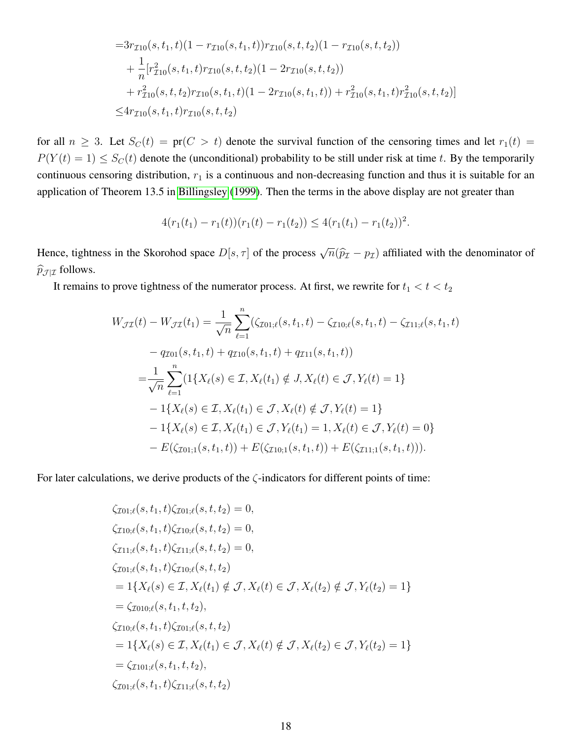$$
=3r_{\mathcal{I}10}(s,t_1,t)(1-r_{\mathcal{I}10}(s,t_1,t))r_{\mathcal{I}10}(s,t,t_2)(1-r_{\mathcal{I}10}(s,t,t_2))+\frac{1}{n}[r_{\mathcal{I}10}^2(s,t_1,t)r_{\mathcal{I}10}(s,t,t_2)(1-2r_{\mathcal{I}10}(s,t,t_2))+r_{\mathcal{I}10}^2(s,t,t_2)r_{\mathcal{I}10}(s,t_1,t)(1-2r_{\mathcal{I}10}(s,t_1,t)) + r_{\mathcal{I}10}^2(s,t_1,t)r_{\mathcal{I}10}^2(s,t,t_2)]\leq 4r_{\mathcal{I}10}(s,t_1,t)r_{\mathcal{I}10}(s,t,t_2)
$$

for all  $n \geq 3$ . Let  $S_C(t) = \text{pr}(C > t)$  denote the survival function of the censoring times and let  $r_1(t) =$  $P(Y(t) = 1) \le S<sub>C</sub>(t)$  denote the (unconditional) probability to be still under risk at time t. By the temporarily continuous censoring distribution,  $r_1$  is a continuous and non-decreasing function and thus it is suitable for an application of Theorem 13.5 in [Billingsley](#page-12-12) [\(1999\)](#page-12-12). Then the terms in the above display are not greater than

$$
4(r_1(t_1)-r_1(t))(r_1(t)-r_1(t_2))\leq 4(r_1(t_1)-r_1(t_2))^2.
$$

Hence, tightness in the Skorohod space  $D[s, \tau]$  of the process  $\sqrt{ }$  $\overline{n}(\widehat{p}_{\mathcal{I}} - p_{\mathcal{I}})$  affiliated with the denominator of  $\widehat{p}_{\mathcal{J}|\mathcal{I}}$  follows.

It remains to prove tightness of the numerator process. At first, we rewrite for  $t_1 < t < t_2$ 

$$
W_{\mathcal{J}\mathcal{I}}(t) - W_{\mathcal{J}\mathcal{I}}(t_1) = \frac{1}{\sqrt{n}} \sum_{\ell=1}^n (\zeta_{\mathcal{I}01;\ell}(s, t_1, t) - \zeta_{\mathcal{I}10;\ell}(s, t_1, t) - \zeta_{\mathcal{I}11;\ell}(s, t_1, t)
$$
  
\n
$$
- q_{\mathcal{I}01}(s, t_1, t) + q_{\mathcal{I}10}(s, t_1, t) + q_{\mathcal{I}11}(s, t_1, t)
$$
  
\n
$$
= \frac{1}{\sqrt{n}} \sum_{\ell=1}^n (1\{X_\ell(s) \in \mathcal{I}, X_\ell(t_1) \notin J, X_\ell(t) \in \mathcal{J}, Y_\ell(t) = 1\}
$$
  
\n
$$
- 1\{X_\ell(s) \in \mathcal{I}, X_\ell(t_1) \in \mathcal{J}, X_\ell(t) \notin \mathcal{J}, Y_\ell(t) = 1\}
$$
  
\n
$$
- 1\{X_\ell(s) \in \mathcal{I}, X_\ell(t_1) \in \mathcal{J}, Y_\ell(t_1) = 1, X_\ell(t) \in \mathcal{J}, Y_\ell(t) = 0\}
$$
  
\n
$$
- E(\zeta_{\mathcal{I}01;1}(s, t_1, t)) + E(\zeta_{\mathcal{I}10;1}(s, t_1, t)) + E(\zeta_{\mathcal{I}11;1}(s, t_1, t))).
$$

For later calculations, we derive products of the  $\zeta$ -indicators for different points of time:

$$
\zeta_{\mathcal{I}01;\ell}(s, t_1, t)\zeta_{\mathcal{I}01;\ell}(s, t, t_2) = 0,\n\zeta_{\mathcal{I}10;\ell}(s, t_1, t)\zeta_{\mathcal{I}10;\ell}(s, t, t_2) = 0,\n\zeta_{\mathcal{I}11;\ell}(s, t_1, t)\zeta_{\mathcal{I}11;\ell}(s, t, t_2) = 0,\n\zeta_{\mathcal{I}01;\ell}(s, t_1, t)\zeta_{\mathcal{I}10;\ell}(s, t, t_2)\n= 1{\{X_{\ell}(s) \in \mathcal{I}, X_{\ell}(t_1) \notin \mathcal{J}, X_{\ell}(t) \in \mathcal{J}, X_{\ell}(t_2) \notin \mathcal{J}, Y_{\ell}(t_2) = 1}\}\n= \zeta_{\mathcal{I}010;\ell}(s, t_1, t, t_2),\n\zeta_{\mathcal{I}10;\ell}(s, t_1, t)\zeta_{\mathcal{I}01;\ell}(s, t, t_2)\n= 1{\{X_{\ell}(s) \in \mathcal{I}, X_{\ell}(t_1) \in \mathcal{J}, X_{\ell}(t) \notin \mathcal{J}, X_{\ell}(t_2) \in \mathcal{J}, Y_{\ell}(t_2) = 1}\}\n= \zeta_{\mathcal{I}101;\ell}(s, t_1, t, t_2),\n\zeta_{\mathcal{I}01;\ell}(s, t_1, t)\zeta_{\mathcal{I}11;\ell}(s, t, t_2)
$$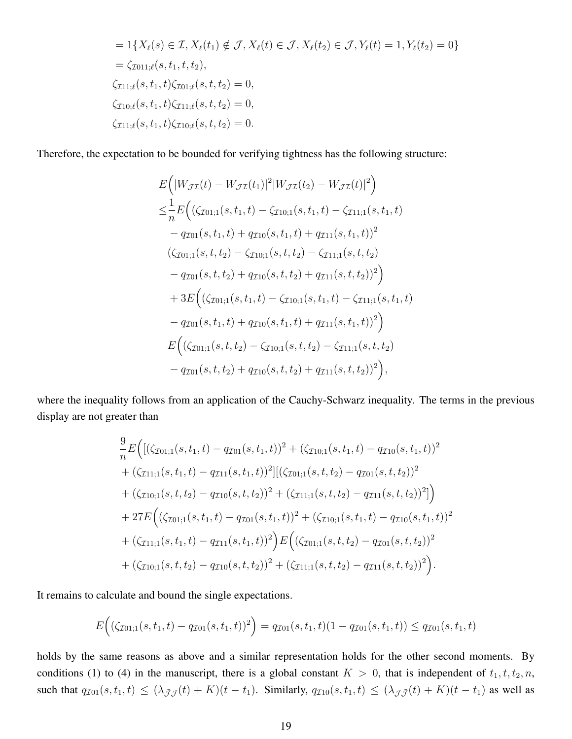$$
= 1\{X_{\ell}(s) \in \mathcal{I}, X_{\ell}(t_1) \notin \mathcal{J}, X_{\ell}(t) \in \mathcal{J}, X_{\ell}(t_2) \in \mathcal{J}, Y_{\ell}(t) = 1, Y_{\ell}(t_2) = 0\}
$$
  
\n
$$
= \zeta_{\mathcal{I}011;\ell}(s, t_1, t, t_2),
$$
  
\n
$$
\zeta_{\mathcal{I}11;\ell}(s, t_1, t)\zeta_{\mathcal{I}01;\ell}(s, t, t_2) = 0,
$$
  
\n
$$
\zeta_{\mathcal{I}10;\ell}(s, t_1, t)\zeta_{\mathcal{I}11;\ell}(s, t, t_2) = 0,
$$
  
\n
$$
\zeta_{\mathcal{I}11;\ell}(s, t_1, t)\zeta_{\mathcal{I}10;\ell}(s, t, t_2) = 0.
$$

Therefore, the expectation to be bounded for verifying tightness has the following structure:

$$
E\Big(|W_{\mathcal{J}\mathcal{I}}(t) - W_{\mathcal{J}\mathcal{I}}(t_1)|^2 |W_{\mathcal{J}\mathcal{I}}(t_2) - W_{\mathcal{J}\mathcal{I}}(t)|^2\Big) \n\leq \frac{1}{n} E\Big((\zeta_{\mathcal{I}01;1}(s,t_1,t) - \zeta_{\mathcal{I}10;1}(s,t_1,t) - \zeta_{\mathcal{I}11;1}(s,t_1,t) - q_{\mathcal{I}01}(s,t_1,t) + q_{\mathcal{I}10}(s,t_1,t) + q_{\mathcal{I}11}(s,t_1,t))^2 \n(\zeta_{\mathcal{I}01;1}(s,t,t_2) - \zeta_{\mathcal{I}10;1}(s,t,t_2) - \zeta_{\mathcal{I}11;1}(s,t,t_2) - q_{\mathcal{I}01}(s,t,t_2) + q_{\mathcal{I}10}(s,t,t_2) + q_{\mathcal{I}11}(s,t,t_2))^2\Big) \n+ 3E\Big((\zeta_{\mathcal{I}01;1}(s,t_1,t) - \zeta_{\mathcal{I}10;1}(s,t_1,t) - \zeta_{\mathcal{I}11;1}(s,t_1,t) - q_{\mathcal{I}01}(s,t_1,t) + q_{\mathcal{I}10}(s,t_1,t) + q_{\mathcal{I}11}(s,t_1,t))^2\Big) \nE\Big((\zeta_{\mathcal{I}01;1}(s,t,t_2) - \zeta_{\mathcal{I}10;1}(s,t,t_2) - \zeta_{\mathcal{I}11;1}(s,t,t_2) - q_{\mathcal{I}01}(s,t,t_2) + q_{\mathcal{I}10}(s,t,t_2) + q_{\mathcal{I}11}(s,t,t_2))^2\Big),
$$

where the inequality follows from an application of the Cauchy-Schwarz inequality. The terms in the previous display are not greater than

$$
\frac{9}{n}E\Big(\big[(\zeta_{\mathcal{I}01;1}(s,t_1,t)-q_{\mathcal{I}01}(s,t_1,t))^2+(\zeta_{\mathcal{I}10;1}(s,t_1,t)-q_{\mathcal{I}10}(s,t_1,t))^2\big] + (\zeta_{\mathcal{I}11;1}(s,t_1,t)-q_{\mathcal{I}11}(s,t_1,t))^2\big[\big((\zeta_{\mathcal{I}01;1}(s,t,t_2)-q_{\mathcal{I}01}(s,t,t_2))^2\big] + (\zeta_{\mathcal{I}10;1}(s,t,t_2)-q_{\mathcal{I}10}(s,t,t_2))^2 + (\zeta_{\mathcal{I}11;1}(s,t,t_2)-q_{\mathcal{I}11}(s,t,t_2))^2\big]\Big) + 27E\Big((\zeta_{\mathcal{I}01;1}(s,t_1,t)-q_{\mathcal{I}01}(s,t_1,t))^2 + (\zeta_{\mathcal{I}10;1}(s,t_1,t)-q_{\mathcal{I}10}(s,t_1,t))^2\big) + (\zeta_{\mathcal{I}11;1}(s,t_1,t)-q_{\mathcal{I}11}(s,t_1,t))^2\Big)E\Big((\zeta_{\mathcal{I}01;1}(s,t,t_2)-q_{\mathcal{I}01}(s,t,t_2))^2 + (\zeta_{\mathcal{I}10;1}(s,t,t_2)-q_{\mathcal{I}11}(s,t,t_2))^2\Big).
$$

It remains to calculate and bound the single expectations.

$$
E\Big((\zeta_{\mathcal{I}01;1}(s,t_1,t)-q_{\mathcal{I}01}(s,t_1,t))^2\Big)=q_{\mathcal{I}01}(s,t_1,t)(1-q_{\mathcal{I}01}(s,t_1,t))\leq q_{\mathcal{I}01}(s,t_1,t)
$$

holds by the same reasons as above and a similar representation holds for the other second moments. By conditions (1) to (4) in the manuscript, there is a global constant  $K > 0$ , that is independent of  $t_1, t, t_2, n$ , such that  $q_{I01}(s, t_1, t) \leq (\lambda_{\bar{J}\mathcal{J}}(t) + K)(t - t_1)$ . Similarly,  $q_{I10}(s, t_1, t) \leq (\lambda_{\bar{J}\bar{\mathcal{J}}}(t) + K)(t - t_1)$  as well as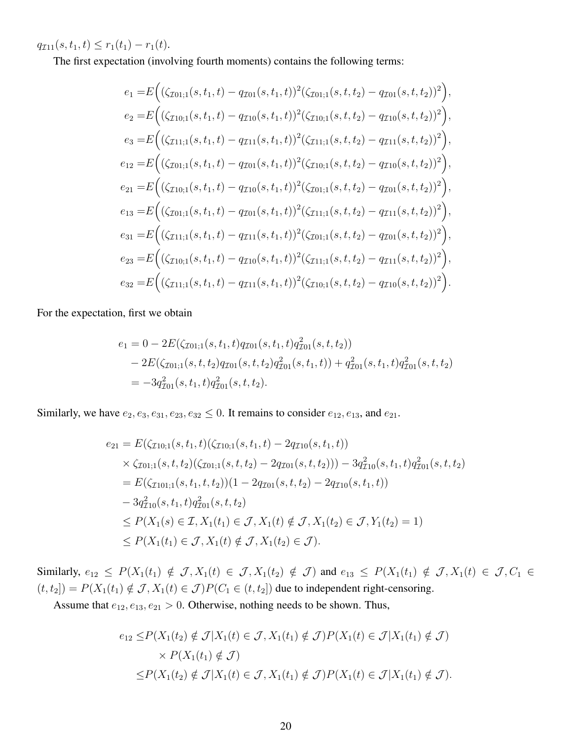$q_{\mathcal{I}11}(s, t_1, t) \leq r_1(t_1) - r_1(t).$ 

The first expectation (involving fourth moments) contains the following terms:

$$
e_{1} = E\Big((\zeta_{\mathcal{I}01;1}(s,t_{1},t) - q_{\mathcal{I}01}(s,t_{1},t))^{2}(\zeta_{\mathcal{I}01;1}(s,t,t_{2}) - q_{\mathcal{I}01}(s,t,t_{2}))^{2}\Big),
$$
  
\n
$$
e_{2} = E\Big((\zeta_{\mathcal{I}10;1}(s,t_{1},t) - q_{\mathcal{I}10}(s,t_{1},t))^{2}(\zeta_{\mathcal{I}10;1}(s,t,t_{2}) - q_{\mathcal{I}10}(s,t,t_{2}))^{2}\Big),
$$
  
\n
$$
e_{3} = E\Big((\zeta_{\mathcal{I}11;1}(s,t_{1},t) - q_{\mathcal{I}11}(s,t_{1},t))^{2}(\zeta_{\mathcal{I}11;1}(s,t,t_{2}) - q_{\mathcal{I}11}(s,t,t_{2}))^{2}\Big),
$$
  
\n
$$
e_{12} = E\Big((\zeta_{\mathcal{I}01;1}(s,t_{1},t) - q_{\mathcal{I}01}(s,t_{1},t))^{2}(\zeta_{\mathcal{I}10;1}(s,t,t_{2}) - q_{\mathcal{I}10}(s,t,t_{2}))^{2}\Big),
$$
  
\n
$$
e_{21} = E\Big((\zeta_{\mathcal{I}01;1}(s,t_{1},t) - q_{\mathcal{I}10}(s,t_{1},t))^{2}(\zeta_{\mathcal{I}01;1}(s,t,t_{2}) - q_{\mathcal{I}01}(s,t,t_{2}))^{2}\Big),
$$
  
\n
$$
e_{13} = E\Big((\zeta_{\mathcal{I}01;1}(s,t_{1},t) - q_{\mathcal{I}01}(s,t_{1},t))^{2}(\zeta_{\mathcal{I}11;1}(s,t,t_{2}) - q_{\mathcal{I}01}(s,t,t_{2}))^{2}\Big),
$$
  
\n
$$
e_{31} = E\Big((\zeta_{\mathcal{I}11;1}(s,t_{1},t) - q_{\mathcal{I}11}(s,t_{1},t))^{2}(\zeta_{\mathcal{I}01;1}(s,t,t_{2}) - q_{\mathcal{I}01}(s,t,t_{2}))^{2}\Big),
$$

For the expectation, first we obtain

$$
e_1 = 0 - 2E(\zeta_{\text{I01;1}}(s, t_1, t)q_{\text{I01}}(s, t_1, t)q_{\text{I01}}^2(s, t, t_2))
$$
  
- 2E(\zeta\_{\text{I01;1}}(s, t, t\_2)q\_{\text{I01}}(s, t, t\_2)q\_{\text{I01}}^2(s, t\_1, t)) + q\_{\text{I01}}^2(s, t\_1, t)q\_{\text{I01}}^2(s, t, t\_2)  
= -3q\_{\text{I01}}^2(s, t\_1, t)q\_{\text{I01}}^2(s, t, t\_2).

Similarly, we have  $e_2, e_3, e_{31}, e_{23}, e_{32} \leq 0$ . It remains to consider  $e_{12}, e_{13}$ , and  $e_{21}$ .

$$
e_{21} = E(\zeta_{\mathcal{I}10;1}(s,t_1,t)(\zeta_{\mathcal{I}10;1}(s,t_1,t) - 2q_{\mathcal{I}10}(s,t_1,t))
$$
  
\n
$$
\times \zeta_{\mathcal{I}01;1}(s,t,t_2)(\zeta_{\mathcal{I}01;1}(s,t,t_2) - 2q_{\mathcal{I}01}(s,t,t_2))) - 3q_{\mathcal{I}10}^2(s,t_1,t)q_{\mathcal{I}01}^2(s,t,t_2)
$$
  
\n
$$
= E(\zeta_{\mathcal{I}101;1}(s,t_1,t,t_2))(1 - 2q_{\mathcal{I}01}(s,t,t_2) - 2q_{\mathcal{I}10}(s,t_1,t))
$$
  
\n
$$
- 3q_{\mathcal{I}10}^2(s,t_1,t)q_{\mathcal{I}01}^2(s,t,t_2)
$$
  
\n
$$
\leq P(X_1(s) \in \mathcal{I}, X_1(t_1) \in \mathcal{J}, X_1(t) \notin \mathcal{J}, X_1(t_2) \in \mathcal{J}, Y_1(t_2) = 1)
$$
  
\n
$$
\leq P(X_1(t_1) \in \mathcal{J}, X_1(t) \notin \mathcal{J}, X_1(t_2) \in \mathcal{J}).
$$

Similarly,  $e_{12} \leq P(X_1(t_1) \notin \mathcal{J}, X_1(t) \in \mathcal{J}, X_1(t_2) \notin \mathcal{J} )$  and  $e_{13} \leq P(X_1(t_1) \notin \mathcal{J}, X_1(t) \in \mathcal{J}, C_1 \in \mathcal{J}$  $(t, t_2]$  =  $P(X_1(t_1) \notin \mathcal{J}, X_1(t) \in \mathcal{J}) P(C_1 \in (t, t_2])$  due to independent right-censoring.

Assume that  $e_{12}, e_{13}, e_{21} > 0$ . Otherwise, nothing needs to be shown. Thus,

$$
e_{12} \le P(X_1(t_2) \notin \mathcal{J}|X_1(t) \in \mathcal{J}, X_1(t_1) \notin \mathcal{J})P(X_1(t) \in \mathcal{J}|X_1(t_1) \notin \mathcal{J})
$$
  
 
$$
\times P(X_1(t_1) \notin \mathcal{J})
$$
  
 
$$
\le P(X_1(t_2) \notin \mathcal{J}|X_1(t) \in \mathcal{J}, X_1(t_1) \notin \mathcal{J})P(X_1(t) \in \mathcal{J}|X_1(t_1) \notin \mathcal{J}).
$$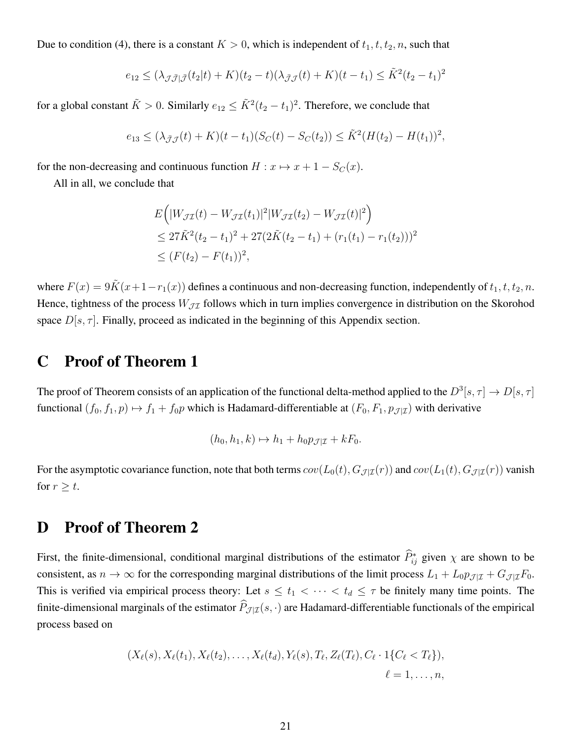Due to condition (4), there is a constant  $K > 0$ , which is independent of  $t_1, t, t_2, n$ , such that

$$
e_{12} \le (\lambda_{\mathcal{J}\bar{\mathcal{J}}|\bar{\mathcal{J}}}(t_2|t) + K)(t_2 - t)(\lambda_{\bar{\mathcal{J}}\mathcal{J}}(t) + K)(t - t_1) \le \tilde{K}^2(t_2 - t_1)^2
$$

for a global constant  $\tilde{K} > 0$ . Similarly  $e_{12} \leq \tilde{K}^2(t_2 - t_1)^2$ . Therefore, we conclude that

$$
e_{13} \le (\lambda_{\bar{\mathcal{J}}\mathcal{J}}(t) + K)(t - t_1)(S_C(t) - S_C(t_2)) \le \tilde{K}^2 (H(t_2) - H(t_1))^2,
$$

for the non-decreasing and continuous function  $H: x \mapsto x + 1 - S_C(x)$ .

All in all, we conclude that

$$
E\left(|W_{\mathcal{J}\mathcal{I}}(t) - W_{\mathcal{J}\mathcal{I}}(t_1)|^2 |W_{\mathcal{J}\mathcal{I}}(t_2) - W_{\mathcal{J}\mathcal{I}}(t)|^2\right)
$$
  
\n
$$
\leq 27\tilde{K}^2(t_2 - t_1)^2 + 27(2\tilde{K}(t_2 - t_1) + (r_1(t_1) - r_1(t_2)))^2
$$
  
\n
$$
\leq (F(t_2) - F(t_1))^2,
$$

where  $F(x) = 9\tilde{K}(x+1-r_1(x))$  defines a continuous and non-decreasing function, independently of  $t_1, t, t_2, n$ . Hence, tightness of the process  $W_{\mathcal{I}\mathcal{I}}$  follows which in turn implies convergence in distribution on the Skorohod space  $D[s, \tau]$ . Finally, proceed as indicated in the beginning of this Appendix section.

### C Proof of Theorem 1

The proof of Theorem consists of an application of the functional delta-method applied to the  $D^3[s,\tau] \to D[s,\tau]$ functional  $(f_0, f_1, p) \mapsto f_1 + f_0 p$  which is Hadamard-differentiable at  $(F_0, F_1, p_{\mathcal{J}|\mathcal{I}})$  with derivative

$$
(h_0, h_1, k) \mapsto h_1 + h_0 p_{\mathcal{J}|\mathcal{I}} + kF_0.
$$

For the asymptotic covariance function, note that both terms  $cov(L_0(t), G_{\mathcal{J}|\mathcal{I}}(r))$  and  $cov(L_1(t), G_{\mathcal{J}|\mathcal{I}}(r))$  vanish for  $r \geq t$ .

### D Proof of Theorem 2

First, the finite-dimensional, conditional marginal distributions of the estimator  $\hat{P}_{ij}^*$  given  $\chi$  are shown to be consistent, as  $n \to \infty$  for the corresponding marginal distributions of the limit process  $L_1 + L_0 p_{\text{J} | \text{I}} + G_{\text{J} | \text{I}} F_0$ . This is verified via empirical process theory: Let  $s \le t_1 < \cdots < t_d \le \tau$  be finitely many time points. The finite-dimensional marginals of the estimator  $\widehat{P}_{J|\mathcal{I}}(s, \cdot)$  are Hadamard-differentiable functionals of the empirical process based on

$$
(X_{\ell}(s), X_{\ell}(t_1), X_{\ell}(t_2), \ldots, X_{\ell}(t_d), Y_{\ell}(s), T_{\ell}, Z_{\ell}(T_{\ell}), C_{\ell} \cdot 1\{C_{\ell} < T_{\ell}\}),
$$
  

$$
\ell = 1, \ldots, n,
$$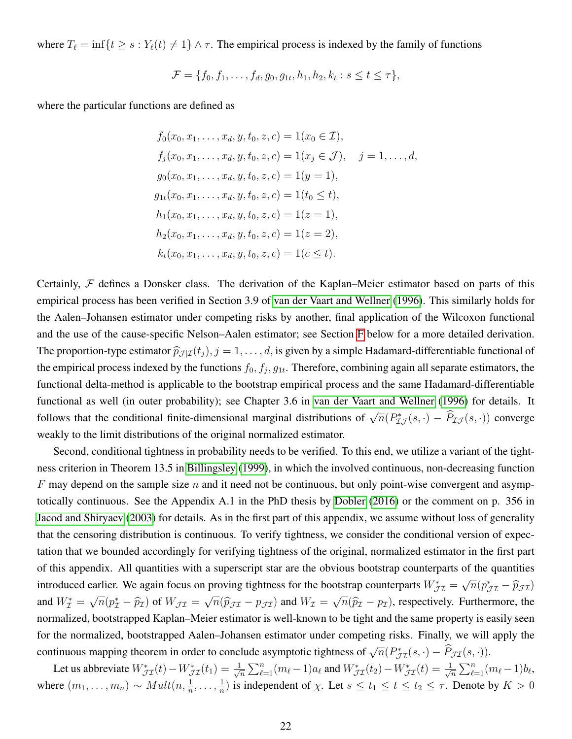where  $T_\ell = \inf\{t \geq s : Y_\ell(t) \neq 1\} \wedge \tau$ . The empirical process is indexed by the family of functions

$$
\mathcal{F} = \{f_0, f_1, \dots, f_d, g_0, g_{1t}, h_1, h_2, k_t : s \le t \le \tau\},\
$$

where the particular functions are defined as

$$
f_0(x_0, x_1, \ldots, x_d, y, t_0, z, c) = 1(x_0 \in \mathcal{I}),
$$
  
\n
$$
f_j(x_0, x_1, \ldots, x_d, y, t_0, z, c) = 1(x_j \in \mathcal{J}), \quad j = 1, \ldots, d,
$$
  
\n
$$
g_0(x_0, x_1, \ldots, x_d, y, t_0, z, c) = 1(y = 1),
$$
  
\n
$$
g_{1t}(x_0, x_1, \ldots, x_d, y, t_0, z, c) = 1(t_0 \le t),
$$
  
\n
$$
h_1(x_0, x_1, \ldots, x_d, y, t_0, z, c) = 1(z = 1),
$$
  
\n
$$
h_2(x_0, x_1, \ldots, x_d, y, t_0, z, c) = 1(z = 2),
$$
  
\n
$$
k_t(x_0, x_1, \ldots, x_d, y, t_0, z, c) = 1(c \le t).
$$

Certainly,  $F$  defines a Donsker class. The derivation of the Kaplan–Meier estimator based on parts of this empirical process has been verified in Section 3.9 of [van der Vaart and Wellner](#page-13-6) [\(1996\)](#page-13-6). This similarly holds for the Aalen–Johansen estimator under competing risks by another, final application of the Wilcoxon functional and the use of the cause-specific Nelson–Aalen estimator; see Section [F](#page-24-0) below for a more detailed derivation. The proportion-type estimator  $\hat{p}_{J|\mathcal{I}}(t_i)$ ,  $j = 1, \ldots, d$ , is given by a simple Hadamard-differentiable functional of the empirical process indexed by the functions  $f_0, f_j, g_{1t}$ . Therefore, combining again all separate estimators, the functional delta-method is applicable to the bootstrap empirical process and the same Hadamard-differentiable functional as well (in outer probability); see Chapter 3.6 in [van der Vaart and Wellner](#page-13-6) [\(1996\)](#page-13-6) for details. It follows that the conditional finite-dimensional marginal distributions of  $\sqrt{n}(P_{\mathcal{I}J}^*(s, \cdot) - \hat{P}_{\mathcal{I}J}(s, \cdot))$  converge weakly to the limit distributions of the original normalized estimator.

Second, conditional tightness in probability needs to be verified. To this end, we utilize a variant of the tightness criterion in Theorem 13.5 in [Billingsley](#page-12-12) [\(1999\)](#page-12-12), in which the involved continuous, non-decreasing function F may depend on the sample size n and it need not be continuous, but only point-wise convergent and asymptotically continuous. See the Appendix A.1 in the PhD thesis by [Dobler](#page-12-13) [\(2016\)](#page-12-13) or the comment on p. 356 in [Jacod and Shiryaev](#page-13-14) [\(2003\)](#page-13-14) for details. As in the first part of this appendix, we assume without loss of generality that the censoring distribution is continuous. To verify tightness, we consider the conditional version of expectation that we bounded accordingly for verifying tightness of the original, normalized estimator in the first part of this appendix. All quantities with a superscript star are the obvious bootstrap counterparts of the quantities introduced earlier. We again focus on proving tightness for the bootstrap counterparts  $W_{\mathcal{J}\mathcal{I}}^* =$ √  $\overline{n}(p_{\mathcal{J}\mathcal{I}}^* - \widehat{p}_{\mathcal{J}\mathcal{I}})$ and  $W^*_{\mathcal{I}} =$ √  $\overline{n}(p^*_{\mathcal{I}} - \widehat{p}_{\mathcal{I}})$  of  $W_{\mathcal{J}\mathcal{I}} =$ √  $\overline{n}(\widehat{p}_{\mathcal{J} \mathcal{I}} - p_{\mathcal{J} \mathcal{I}})$  and  $W_{\mathcal{I}} =$ √  $\overline{n}(\widehat{p}_{\mathcal{I}} - p_{\mathcal{I}})$ , respectively. Furthermore, the normalized, bootstrapped Kaplan–Meier estimator is well-known to be tight and the same property is easily seen for the normalized, bootstrapped Aalen–Johansen estimator under competing risks. Finally, we will apply the continuous mapping theorem in order to conclude asymptotic tightness of  $\sqrt{n}(P_{\mathcal{J}\mathcal{I}}^{*}(s,\cdot)-\widehat{P}_{\mathcal{J}\mathcal{I}}(s,\cdot)).$ 

Let us abbreviate  $W_{\mathcal{J}\mathcal{I}}^*(t) - W_{\mathcal{J}\mathcal{I}}^*(t_1) = \frac{1}{\sqrt{2\pi}}$  $\frac{1}{2\pi} \sum_{\ell=1}^n (m_\ell - 1) a_\ell$  and  $W^*_{\mathcal{J} \mathcal{I}}(t_2) - W^*_{\mathcal{J} \mathcal{I}}(t) = \frac{1}{\sqrt{2\pi}}$  $\frac{1}{\overline{n}}\sum_{\ell=1}^n (m_\ell-1)b_\ell,$ where  $(m_1, \ldots, m_n) \sim Mult(n, \frac{1}{n}, \ldots, \frac{1}{n})$  $\frac{1}{n}$ ) is independent of  $\chi$ . Let  $s \le t_1 \le t \le t_2 \le \tau$ . Denote by  $K > 0$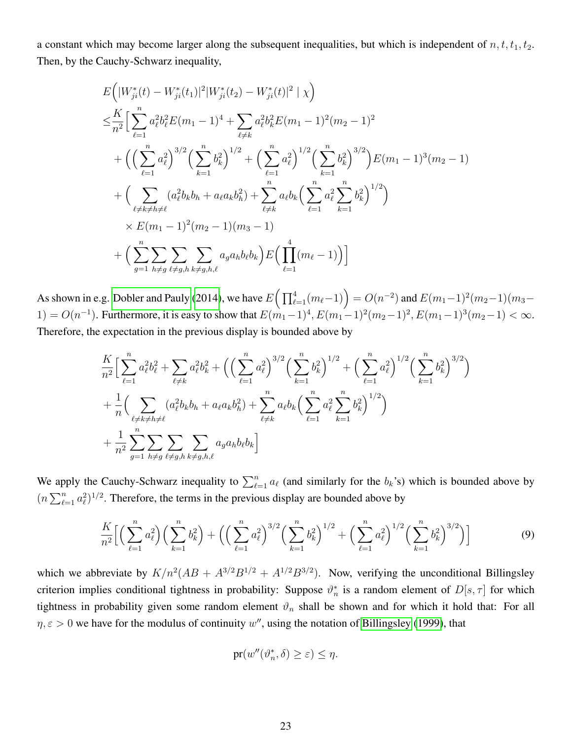a constant which may become larger along the subsequent inequalities, but which is independent of  $n, t, t_1, t_2$ . Then, by the Cauchy-Schwarz inequality,

$$
E\left(|W_{ji}^{*}(t) - W_{ji}^{*}(t_1)|^{2}|W_{ji}^{*}(t_2) - W_{ji}^{*}(t)|^{2} | \chi\right)
$$
  
\n
$$
\leq \frac{K}{n^{2}} \Big[\sum_{\ell=1}^{n} a_{\ell}^{2} b_{\ell}^{2} E(m_{1} - 1)^{4} + \sum_{\ell \neq k} a_{\ell}^{2} b_{k}^{2} E(m_{1} - 1)^{2}(m_{2} - 1)^{2}
$$
  
\n
$$
+ \Big(\Big(\sum_{\ell=1}^{n} a_{\ell}^{2}\Big)^{3/2} \Big(\sum_{k=1}^{n} b_{k}^{2}\Big)^{1/2} + \Big(\sum_{\ell=1}^{n} a_{\ell}^{2}\Big)^{1/2} \Big(\sum_{k=1}^{n} b_{k}^{2}\Big)^{3/2}\Big) E(m_{1} - 1)^{3}(m_{2} - 1)
$$
  
\n
$$
+ \Big(\sum_{\ell \neq k \neq h \neq \ell} (a_{\ell}^{2} b_{k} b_{h} + a_{\ell} a_{k} b_{h}^{2}) + \sum_{\ell \neq k}^{n} a_{\ell} b_{k} \Big(\sum_{\ell=1}^{n} a_{\ell}^{2} \sum_{k=1}^{n} b_{k}^{2}\Big)^{1/2}\Big)
$$
  
\n
$$
\times E(m_{1} - 1)^{2}(m_{2} - 1)(m_{3} - 1)
$$
  
\n
$$
+ \Big(\sum_{g=1}^{n} \sum_{h \neq g} \sum_{\ell \neq g,h} \sum_{k \neq g,h,\ell} a_{g} a_{h} b_{\ell} b_{k} \Big) E\Big(\prod_{\ell=1}^{4} (m_{\ell} - 1)\Big)\Big]
$$

As shown in e.g. [Dobler and Pauly](#page-12-14) [\(2014\)](#page-12-14), we have  $E\Big(\prod_{\ell=1}^4(m_\ell-1)\Big)=O(n^{-2})$  and  $E(m_1-1)^2(m_2-1)(m_3-1)$ 1) =  $O(n^{-1})$ . Furthermore, it is easy to show that  $E(m_1-1)^4$ ,  $E(m_1-1)^2(m_2-1)^2$ ,  $E(m_1-1)^3(m_2-1) < \infty$ . Therefore, the expectation in the previous display is bounded above by

$$
\frac{K}{n^2} \Big[ \sum_{\ell=1}^n a_\ell^2 b_\ell^2 + \sum_{\ell \neq k} a_\ell^2 b_k^2 + \left( \left( \sum_{\ell=1}^n a_\ell^2 \right)^{3/2} \left( \sum_{k=1}^n b_k^2 \right)^{1/2} + \left( \sum_{\ell=1}^n a_\ell^2 \right)^{1/2} \left( \sum_{k=1}^n b_k^2 \right)^{3/2} \right) \n+ \frac{1}{n} \Big( \sum_{\ell \neq k \neq h \neq \ell} (a_\ell^2 b_k b_h + a_\ell a_k b_h^2) + \sum_{\ell \neq k}^n a_\ell b_k \left( \sum_{\ell=1}^n a_\ell^2 \sum_{k=1}^n b_k^2 \right)^{1/2} \Big) \n+ \frac{1}{n^2} \sum_{g=1}^n \sum_{h \neq g} \sum_{\ell \neq g, h} \sum_{k \neq g, h, \ell} a_g a_h b_\ell b_k \Big]
$$

We apply the Cauchy-Schwarz inequality to  $\sum_{\ell=1}^n a_\ell$  (and similarly for the  $b_k$ 's) which is bounded above by  $(n \sum_{\ell=1}^n a_\ell^2)^{1/2}$ . Therefore, the terms in the previous display are bounded above by

$$
\frac{K}{n^2} \Big[ \Big( \sum_{\ell=1}^n a_\ell^2 \Big) \Big( \sum_{k=1}^n b_k^2 \Big) + \Big( \Big( \sum_{\ell=1}^n a_\ell^2 \Big)^{3/2} \Big( \sum_{k=1}^n b_k^2 \Big)^{1/2} + \Big( \sum_{\ell=1}^n a_\ell^2 \Big)^{1/2} \Big( \sum_{k=1}^n b_k^2 \Big)^{3/2} \Big) \Big]
$$
(9)

which we abbreviate by  $K/n^2(AB + A^{3/2}B^{1/2} + A^{1/2}B^{3/2})$ . Now, verifying the unconditional Billingsley criterion implies conditional tightness in probability: Suppose  $\vartheta_n^*$  is a random element of  $D[s, \tau]$  for which tightness in probability given some random element  $\vartheta_n$  shall be shown and for which it hold that: For all  $\eta, \varepsilon > 0$  we have for the modulus of continuity w'', using the notation of [Billingsley](#page-12-12) [\(1999\)](#page-12-12), that

<span id="page-22-0"></span>
$$
\mathrm{pr}(w''(\vartheta_n^*, \delta) \ge \varepsilon) \le \eta.
$$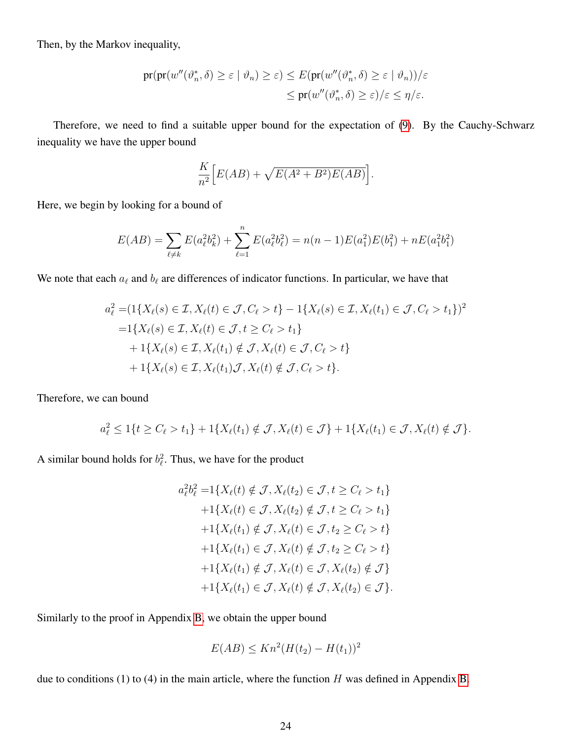Then, by the Markov inequality,

$$
\begin{aligned} \text{pr}(\text{pr}(w''(\vartheta_n^*, \delta) \ge \varepsilon \mid \vartheta_n) \ge \varepsilon) &\le E(\text{pr}(w''(\vartheta_n^*, \delta) \ge \varepsilon \mid \vartheta_n))/\varepsilon \\ &\le \text{pr}(w''(\vartheta_n^*, \delta) \ge \varepsilon)/\varepsilon \le \eta/\varepsilon. \end{aligned}
$$

Therefore, we need to find a suitable upper bound for the expectation of [\(9\)](#page-22-0). By the Cauchy-Schwarz inequality we have the upper bound

$$
\frac{K}{n^2} \Big[ E(AB) + \sqrt{E(A^2 + B^2)E(AB)} \Big].
$$

Here, we begin by looking for a bound of

$$
E(AB) = \sum_{\ell \neq k} E(a_{\ell}^2 b_k^2) + \sum_{\ell=1}^n E(a_{\ell}^2 b_{\ell}^2) = n(n-1)E(a_1^2)E(b_1^2) + nE(a_1^2 b_1^2)
$$

We note that each  $a_\ell$  and  $b_\ell$  are differences of indicator functions. In particular, we have that

$$
a_{\ell}^{2} = (1\{X_{\ell}(s) \in \mathcal{I}, X_{\ell}(t) \in \mathcal{J}, C_{\ell} > t\} - 1\{X_{\ell}(s) \in \mathcal{I}, X_{\ell}(t_{1}) \in \mathcal{J}, C_{\ell} > t_{1}\})^{2}
$$
  
=  $1\{X_{\ell}(s) \in \mathcal{I}, X_{\ell}(t) \in \mathcal{J}, t \geq C_{\ell} > t_{1}\}$   
+  $1\{X_{\ell}(s) \in \mathcal{I}, X_{\ell}(t_{1}) \notin \mathcal{J}, X_{\ell}(t) \in \mathcal{J}, C_{\ell} > t\}$   
+  $1\{X_{\ell}(s) \in \mathcal{I}, X_{\ell}(t_{1})\mathcal{J}, X_{\ell}(t) \notin \mathcal{J}, C_{\ell} > t\}.$ 

Therefore, we can bound

$$
a_{\ell}^2 \leq 1\{t \geq C_{\ell} > t_1\} + 1\{X_{\ell}(t_1) \notin \mathcal{J}, X_{\ell}(t) \in \mathcal{J}\} + 1\{X_{\ell}(t_1) \in \mathcal{J}, X_{\ell}(t) \notin \mathcal{J}\}.
$$

A similar bound holds for  $b_{\ell}^2$ . Thus, we have for the product

$$
a_{\ell}^{2}b_{\ell}^{2} = 1\{X_{\ell}(t) \notin \mathcal{J}, X_{\ell}(t_{2}) \in \mathcal{J}, t \ge C_{\ell} > t_{1}\}+1\{X_{\ell}(t) \in \mathcal{J}, X_{\ell}(t_{2}) \notin \mathcal{J}, t \ge C_{\ell} > t_{1}\}+1\{X_{\ell}(t_{1}) \notin \mathcal{J}, X_{\ell}(t) \in \mathcal{J}, t_{2} \ge C_{\ell} > t\}+1\{X_{\ell}(t_{1}) \in \mathcal{J}, X_{\ell}(t) \notin \mathcal{J}, t_{2} \ge C_{\ell} > t\}+1\{X_{\ell}(t_{1}) \notin \mathcal{J}, X_{\ell}(t) \in \mathcal{J}, X_{\ell}(t_{2}) \notin \mathcal{J}\}+1\{X_{\ell}(t_{1}) \in \mathcal{J}, X_{\ell}(t) \notin \mathcal{J}, X_{\ell}(t_{2}) \in \mathcal{J}\}.
$$

Similarly to the proof in Appendix [B,](#page-14-0) we obtain the upper bound

$$
E(AB) \le Kn^2(H(t_2) - H(t_1))^2
$$

due to conditions (1) to (4) in the main article, where the function  $H$  was defined in Appendix [B.](#page-14-0)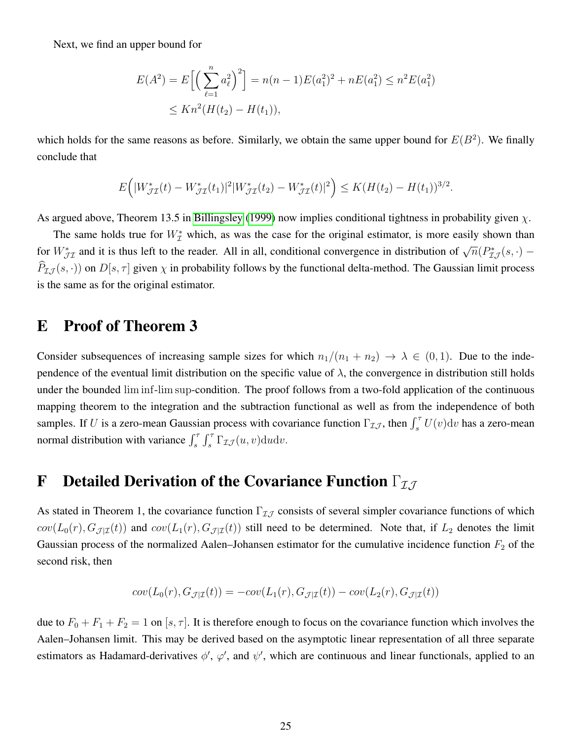Next, we find an upper bound for

$$
E(A^2) = E\left[\left(\sum_{\ell=1}^n a_\ell^2\right)^2\right] = n(n-1)E(a_1^2)^2 + nE(a_1^2) \le n^2E(a_1^2)
$$
  
 
$$
\le Kn^2(H(t_2) - H(t_1)),
$$

which holds for the same reasons as before. Similarly, we obtain the same upper bound for  $E(B^2)$ . We finally conclude that

$$
E\Big(|W_{\mathcal{J}\mathcal{I}}^*(t) - W_{\mathcal{J}\mathcal{I}}^*(t_1)|^2|W_{\mathcal{J}\mathcal{I}}^*(t_2) - W_{\mathcal{J}\mathcal{I}}^*(t)|^2\Big) \leq K(H(t_2) - H(t_1))^{3/2}.
$$

As argued above, Theorem 13.5 in [Billingsley](#page-12-12) [\(1999\)](#page-12-12) now implies conditional tightness in probability given  $\chi$ .

The same holds true for  $W^*_{\mathcal{I}}$  which, as was the case for the original estimator, is more easily shown than for  $W_{\mathcal{J}\mathcal{I}}^*$  and it is thus left to the reader. All in all, conditional convergence in distribution of  $\sqrt{n}(P_{\mathcal{I}\mathcal{J}}^*(s, \cdot)$  –  $P_{I,J}(s, \cdot)$ ) on  $D[s, \tau]$  given  $\chi$  in probability follows by the functional delta-method. The Gaussian limit process is the same as for the original estimator.

#### E Proof of Theorem 3

Consider subsequences of increasing sample sizes for which  $n_1/(n_1 + n_2) \rightarrow \lambda \in (0, 1)$ . Due to the independence of the eventual limit distribution on the specific value of  $\lambda$ , the convergence in distribution still holds under the bounded lim inf-lim sup-condition. The proof follows from a two-fold application of the continuous mapping theorem to the integration and the subtraction functional as well as from the independence of both samples. If U is a zero-mean Gaussian process with covariance function  $\Gamma_{\mathcal{I}J}$ , then  $\int_s^\tau U(v)dv$  has a zero-mean normal distribution with variance  $\int_s^{\tau} \int_s^{\tau} \Gamma_{\mathcal{I}\mathcal{J}}(u, v) \, du \, dv$ .

## <span id="page-24-0"></span>**F** Detailed Derivation of the Covariance Function  $\Gamma_{\mathcal{I} \mathcal{J}}$

As stated in Theorem 1, the covariance function  $\Gamma_{IJ}$  consists of several simpler covariance functions of which  $cov(L_0(r), G_{\mathcal{J}|\mathcal{I}}(t))$  and  $cov(L_1(r), G_{\mathcal{J}|\mathcal{I}}(t))$  still need to be determined. Note that, if  $L_2$  denotes the limit Gaussian process of the normalized Aalen–Johansen estimator for the cumulative incidence function  $F_2$  of the second risk, then

$$
cov(L_0(r), G_{\mathcal{J}|\mathcal{I}}(t)) = -cov(L_1(r), G_{\mathcal{J}|\mathcal{I}}(t)) - cov(L_2(r), G_{\mathcal{J}|\mathcal{I}}(t))
$$

due to  $F_0 + F_1 + F_2 = 1$  on  $[s, \tau]$ . It is therefore enough to focus on the covariance function which involves the Aalen–Johansen limit. This may be derived based on the asymptotic linear representation of all three separate estimators as Hadamard-derivatives  $\phi'$ ,  $\varphi'$ , and  $\psi'$ , which are continuous and linear functionals, applied to an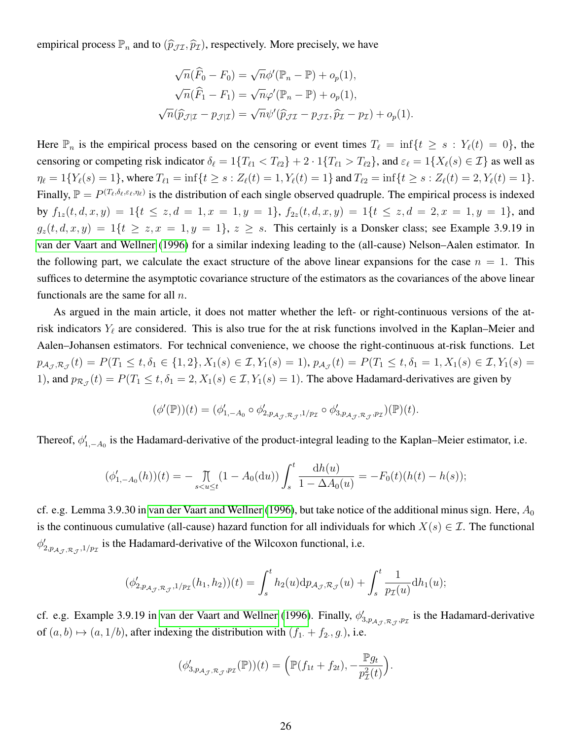empirical process  $\mathbb{P}_n$  and to  $(\widehat{p}_{\mathcal{JI}}, \widehat{p}_{\mathcal{I}})$ , respectively. More precisely, we have

$$
\sqrt{n}(\widehat{F}_0 - F_0) = \sqrt{n}\phi'(\mathbb{P}_n - \mathbb{P}) + o_p(1),
$$
  

$$
\sqrt{n}(\widehat{F}_1 - F_1) = \sqrt{n}\varphi'(\mathbb{P}_n - \mathbb{P}) + o_p(1),
$$
  

$$
\sqrt{n}(\widehat{p}_{\mathcal{J}|\mathcal{I}} - p_{\mathcal{J}|\mathcal{I}}) = \sqrt{n}\psi'(\widehat{p}_{\mathcal{J}\mathcal{I}} - p_{\mathcal{J}\mathcal{I}}, \widehat{p}_{\mathcal{I}} - p_{\mathcal{I}}) + o_p(1).
$$

Here  $\mathbb{P}_n$  is the empirical process based on the censoring or event times  $T_\ell = \inf\{t \geq s : Y_\ell(t) = 0\}$ , the censoring or competing risk indicator  $\delta_\ell = 1\{T_{\ell 1} < T_{\ell 2}\} + 2 \cdot 1\{T_{\ell 1} > T_{\ell 2}\}$ , and  $\varepsilon_\ell = 1\{X_\ell(s) \in \mathcal{I}\}$  as well as  $\eta_{\ell} = 1\{Y_{\ell}(s) = 1\}$ , where  $T_{\ell 1} = \inf\{t \ge s : Z_{\ell}(t) = 1, Y_{\ell}(t) = 1\}$  and  $T_{\ell 2} = \inf\{t \ge s : Z_{\ell}(t) = 2, Y_{\ell}(t) = 1\}.$ Finally,  $\mathbb{P} = P^{(T_\ell, \delta_\ell, \varepsilon_\ell, \eta_\ell)}$  is the distribution of each single observed quadruple. The empirical process is indexed by  $f_{1z}(t, d, x, y) = 1\{t \le z, d = 1, x = 1, y = 1\}$ ,  $f_{2z}(t, d, x, y) = 1\{t \le z, d = 2, x = 1, y = 1\}$ , and  $g_z(t, d, x, y) = 1\{t \ge z, x = 1, y = 1\}, z \ge s$ . This certainly is a Donsker class; see Example 3.9.19 in [van der Vaart and Wellner](#page-13-6) [\(1996\)](#page-13-6) for a similar indexing leading to the (all-cause) Nelson–Aalen estimator. In the following part, we calculate the exact structure of the above linear expansions for the case  $n = 1$ . This suffices to determine the asymptotic covariance structure of the estimators as the covariances of the above linear functionals are the same for all  $n$ .

As argued in the main article, it does not matter whether the left- or right-continuous versions of the atrisk indicators  $Y_\ell$  are considered. This is also true for the at risk functions involved in the Kaplan–Meier and Aalen–Johansen estimators. For technical convenience, we choose the right-continuous at-risk functions. Let  $p_{\mathcal{A}_{\mathcal{J}},\mathcal{R}_{\mathcal{J}}}(t) = P(T_1 \leq t, \delta_1 \in \{1,2\}, X_1(s) \in \mathcal{I}, Y_1(s) = 1), p_{\mathcal{A}_{\mathcal{J}}}(t) = P(T_1 \leq t, \delta_1 = 1, X_1(s) \in \mathcal{I}, Y_1(s) = 1)$ 1), and  $p_{\mathcal{R}_{\mathcal{J}}}(t) = P(T_1 \le t, \delta_1 = 2, X_1(s) \in \mathcal{I}, Y_1(s) = 1)$ . The above Hadamard-derivatives are given by

$$
(\phi'(\mathbb{P}))(t)=(\phi'_{1,-A_0}\circ\phi'_{2,p_{\mathcal{AJ}},\mathcal{R}_{\mathcal{J}},1/p_{\mathcal{I}}}\circ\phi'_{3,p_{\mathcal{AJ}},\mathcal{R}_{\mathcal{J}},p_{\mathcal{I}}})(\mathbb{P})(t).
$$

Thereof,  $\phi'_{1,-A_0}$  is the Hadamard-derivative of the product-integral leading to the Kaplan–Meier estimator, i.e.

$$
(\phi'_{1,-A_0}(h))(t) = - \prod_{s < u \le t} (1 - A_0(\mathrm{d}u)) \int_s^t \frac{\mathrm{d}h(u)}{1 - \Delta A_0(u)} = -F_0(t)(h(t) - h(s));
$$

cf. e.g. Lemma 3.9.30 in [van der Vaart and Wellner](#page-13-6) [\(1996\)](#page-13-6), but take notice of the additional minus sign. Here,  $A_0$ is the continuous cumulative (all-cause) hazard function for all individuals for which  $X(s) \in \mathcal{I}$ . The functional  $\phi'_{2,p_{A_{\mathcal{J}},\mathcal{R}_{\mathcal{J}},1/p_{\mathcal{I}}}}$  is the Hadamard-derivative of the Wilcoxon functional, i.e.

$$
(\phi'_{2,p_{\mathcal{A}_{\mathcal{J}},\mathcal{R}_{\mathcal{J}}},1/p_{\mathcal{I}}}(h_1,h_2))(t) = \int_{s}^{t} h_2(u) \mathrm{d}p_{\mathcal{A}_{\mathcal{J}},\mathcal{R}_{\mathcal{J}}}(u) + \int_{s}^{t} \frac{1}{p_{\mathcal{I}}(u)} \mathrm{d}h_1(u);
$$

cf. e.g. Example 3.9.19 in [van der Vaart and Wellner](#page-13-6) [\(1996\)](#page-13-6). Finally,  $\phi'_{3,p_{\mathcal{A}_{\mathcal{J}},\mathcal{R}_{\mathcal{J}},p_{\mathcal{I}}}}$  is the Hadamard-derivative of  $(a, b) \mapsto (a, 1/b)$ , after indexing the distribution with  $(f_1 + f_2, g_1)$ , i.e.

$$
(\phi'_{3,p_{\mathcal{A}_{\mathcal{J}},\mathcal{R}_{\mathcal{J}},p_{\mathcal{I}}}(\mathbb{P}))(t) = \left(\mathbb{P}(f_{1t} + f_{2t}), -\frac{\mathbb{P}g_t}{p_{\mathcal{I}}^2(t)}\right)
$$

.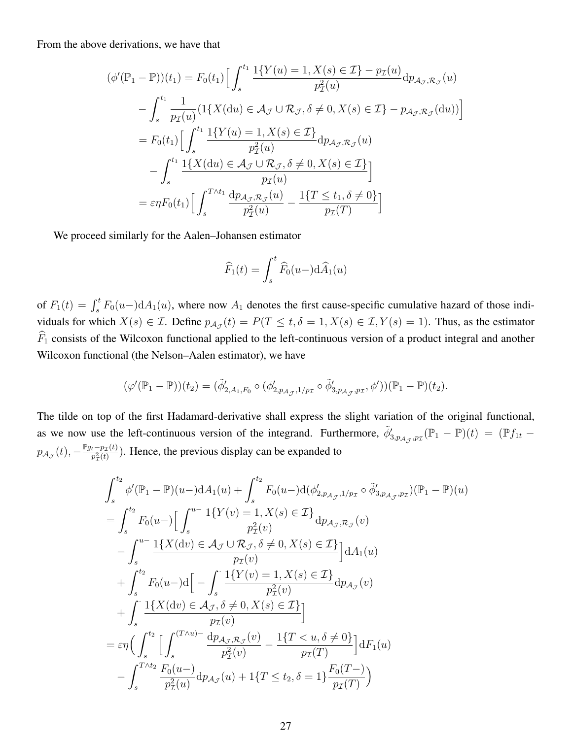From the above derivations, we have that

$$
(\phi'(\mathbb{P}_1 - \mathbb{P}))(t_1) = F_0(t_1) \Big[ \int_s^{t_1} \frac{1\{Y(u) = 1, X(s) \in \mathcal{I}\} - p_{\mathcal{I}}(u)}{p_{\mathcal{I}}^2(u)} dp_{\mathcal{A}_{\mathcal{J}}, \mathcal{R}_{\mathcal{J}}}(u) - \int_s^{t_1} \frac{1}{p_{\mathcal{I}}(u)} (1\{X(\mathrm{d}u) \in \mathcal{A}_{\mathcal{J}} \cup \mathcal{R}_{\mathcal{J}}, \delta \neq 0, X(s) \in \mathcal{I}\} - p_{\mathcal{A}_{\mathcal{J}}, \mathcal{R}_{\mathcal{J}}}(du)) \Big] = F_0(t_1) \Big[ \int_s^{t_1} \frac{1\{Y(u) = 1, X(s) \in \mathcal{I}\}}{p_{\mathcal{I}}^2(u)} \mathrm{d}p_{\mathcal{A}_{\mathcal{J}}, \mathcal{R}_{\mathcal{J}}}(u) - \int_s^{t_1} \frac{1\{X(\mathrm{d}u) \in \mathcal{A}_{\mathcal{J}} \cup \mathcal{R}_{\mathcal{J}}, \delta \neq 0, X(s) \in \mathcal{I}\}}{p_{\mathcal{I}}(u)} \Big] = \varepsilon \eta F_0(t_1) \Big[ \int_s^{T \wedge t_1} \frac{\mathrm{d}p_{\mathcal{A}_{\mathcal{J}}, \mathcal{R}_{\mathcal{J}}}(u)}{p_{\mathcal{I}}^2(u)} - \frac{1\{T \le t_1, \delta \neq 0\}}{p_{\mathcal{I}}(T)} \Big]
$$

We proceed similarly for the Aalen–Johansen estimator

$$
\widehat{F}_1(t) = \int_s^t \widehat{F}_0(u-) \mathrm{d}\widehat{A}_1(u)
$$

of  $F_1(t) = \int_s^t F_0(u-) dA_1(u)$ , where now  $A_1$  denotes the first cause-specific cumulative hazard of those individuals for which  $X(s) \in \mathcal{I}$ . Define  $p_{\mathcal{A}_{\mathcal{J}}}(t) = P(T \le t, \delta = 1, X(s) \in \mathcal{I}, Y(s) = 1)$ . Thus, as the estimator  $\widehat{F}_1$  consists of the Wilcoxon functional applied to the left-continuous version of a product integral and another Wilcoxon functional (the Nelson–Aalen estimator), we have

$$
(\varphi'(\mathbb{P}_1 - \mathbb{P}))(t_2) = (\tilde{\phi}'_{2,A_1,F_0} \circ (\phi'_{2,p_{\mathcal{A}_{\mathcal{J}}},1/p_{\mathcal{I}}} \circ \tilde{\phi}'_{3,p_{\mathcal{A}_{\mathcal{J}}},p_{\mathcal{I}}},\phi'))(\mathbb{P}_1 - \mathbb{P})(t_2).
$$

The tilde on top of the first Hadamard-derivative shall express the slight variation of the original functional, as we now use the left-continuous version of the integrand. Furthermore,  $\tilde{\phi}'_{3,p_{\mathcal{A}_{\mathcal{J}}},p_{\mathcal{I}}}(\mathbb{P}_1 - \mathbb{P})(t) = (\mathbb{P}f_{1t}$  $p_{\mathcal{A}_{\mathcal{J}}}(t), -\frac{\mathbb{P}_{g_t-p_{\mathcal{I}}}(t)}{p_{\pi}^2(t)}$  $\frac{t-p_{\mathcal{I}}(t)}{p_{\mathcal{I}}^2(t)}$ ). Hence, the previous display can be expanded to

$$
\int_{s}^{t_{2}} \phi'(\mathbb{P}_{1} - \mathbb{P})(u -) dA_{1}(u) + \int_{s}^{t_{2}} F_{0}(u -) d(\phi'_{2, p_{A_{\mathcal{J}}}, 1/p_{\mathcal{I}}} \circ \tilde{\phi}'_{3, p_{A_{\mathcal{J}}}, p_{\mathcal{I}}})(\mathbb{P}_{1} - \mathbb{P})(u)
$$
\n
$$
= \int_{s}^{t_{2}} F_{0}(u -) \Big[ \int_{s}^{u -} \frac{1\{Y(v) = 1, X(s) \in \mathcal{I}\}}{p_{\mathcal{I}}^{2}(v)} dp_{\mathcal{A}_{\mathcal{J}}, \mathcal{R}_{\mathcal{J}}}(v) - \int_{s}^{u -} \frac{1\{X(\mathrm{d}v) \in \mathcal{A}_{\mathcal{J}} \cup \mathcal{R}_{\mathcal{J}}, \delta \neq 0, X(s) \in \mathcal{I}\}}{p_{\mathcal{I}}(v)} \Big] dA_{1}(u)
$$
\n
$$
+ \int_{s}^{t_{2}} F_{0}(u -) d \Big[ - \int_{s} \frac{1\{Y(v) = 1, X(s) \in \mathcal{I}\}}{p_{\mathcal{I}}^{2}(v)} dp_{\mathcal{A}_{\mathcal{J}}}(v) + \int_{s} \frac{1\{X(\mathrm{d}v) \in \mathcal{A}_{\mathcal{J}}, \delta \neq 0, X(s) \in \mathcal{I}\}}{p_{\mathcal{I}}(v)} \Big]
$$
\n
$$
= \varepsilon \eta \Big( \int_{s}^{t_{2}} \Big[ \int_{s}^{(T \wedge u) -} \frac{\mathrm{d}p_{\mathcal{A}_{\mathcal{J}}, \mathcal{R}_{\mathcal{J}}}(v)}{p_{\mathcal{I}}^{2}(v)} - \frac{1\{T < u, \delta \neq 0\}}{p_{\mathcal{I}}(T)} \Big] dF_{1}(u)
$$
\n
$$
- \int_{s}^{T \wedge t_{2}} \frac{F_{0}(u -)}{p_{\mathcal{I}}^{2}(u)} d p_{\mathcal{A}_{\mathcal{J}}}(u) + 1\{T \leq t_{2}, \delta = 1\} \frac{F_{0}(T -)}{p_{\mathcal{I}}(T)} \Big)
$$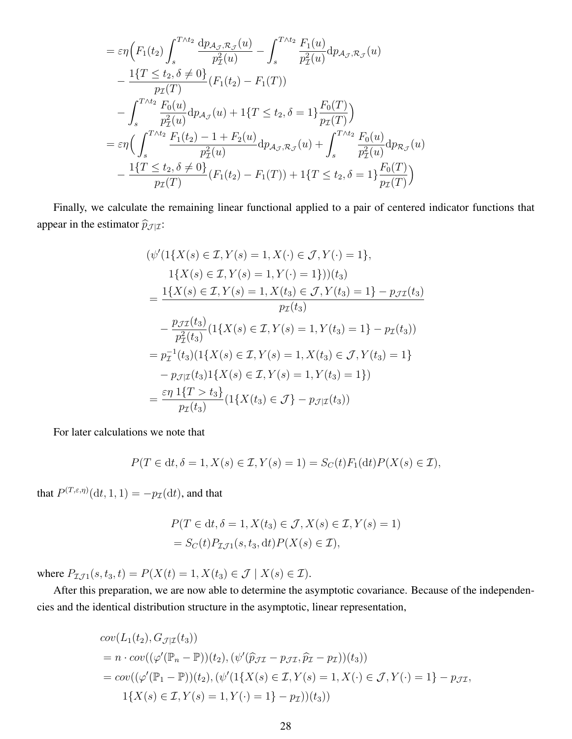$$
= \varepsilon \eta \Big( F_1(t_2) \int_s^{T \wedge t_2} \frac{dp_{\mathcal{A}_{\mathcal{J}}, \mathcal{R}_{\mathcal{J}}}(u)}{p_{\mathcal{I}}^2(u)} - \int_s^{T \wedge t_2} \frac{F_1(u)}{p_{\mathcal{I}}^2(u)} dp_{\mathcal{A}_{\mathcal{J}}, \mathcal{R}_{\mathcal{J}}}(u) - \frac{1\{T \le t_2, \delta \neq 0\}}{p_{\mathcal{I}}(T)} (F_1(t_2) - F_1(T)) - \int_s^{T \wedge t_2} \frac{F_0(u)}{p_{\mathcal{I}}^2(u)} dp_{\mathcal{A}_{\mathcal{J}}}(u) + 1\{T \le t_2, \delta = 1\} \frac{F_0(T)}{p_{\mathcal{I}}(T)} \Big) = \varepsilon \eta \Big( \int_s^{T \wedge t_2} \frac{F_1(t_2) - 1 + F_2(u)}{p_{\mathcal{I}}^2(u)} dp_{\mathcal{A}_{\mathcal{J}}, \mathcal{R}_{\mathcal{J}}}(u) + \int_s^{T \wedge t_2} \frac{F_0(u)}{p_{\mathcal{I}}^2(u)} dp_{\mathcal{R}_{\mathcal{J}}}(u) - \frac{1\{T \le t_2, \delta \neq 0\}}{p_{\mathcal{I}}(T)} (F_1(t_2) - F_1(T)) + 1\{T \le t_2, \delta = 1\} \frac{F_0(T)}{p_{\mathcal{I}}(T)} \Big)
$$

Finally, we calculate the remaining linear functional applied to a pair of centered indicator functions that appear in the estimator  $\widehat{p}_{\mathcal{J}|\mathcal{I}}$ :

$$
(\psi'(1\{X(s) \in \mathcal{I}, Y(s) = 1, X(\cdot) \in \mathcal{J}, Y(\cdot) = 1\},
$$
  
\n
$$
1\{X(s) \in \mathcal{I}, Y(s) = 1, Y(\cdot) = 1\}) (t_3)
$$
  
\n
$$
= \frac{1\{X(s) \in \mathcal{I}, Y(s) = 1, X(t_3) \in \mathcal{J}, Y(t_3) = 1\} - p_{\mathcal{J}\mathcal{I}}(t_3)}{p_{\mathcal{I}}(t_3)}
$$
  
\n
$$
- \frac{p_{\mathcal{J}\mathcal{I}}(t_3)}{p_{\mathcal{I}}^2(t_3)} (1\{X(s) \in \mathcal{I}, Y(s) = 1, Y(t_3) = 1\} - p_{\mathcal{I}}(t_3))
$$
  
\n
$$
= p_{\mathcal{I}}^{-1}(t_3) (1\{X(s) \in \mathcal{I}, Y(s) = 1, X(t_3) \in \mathcal{J}, Y(t_3) = 1\}
$$
  
\n
$$
- p_{\mathcal{J}|\mathcal{I}}(t_3) 1\{X(s) \in \mathcal{I}, Y(s) = 1, Y(t_3) = 1\})
$$
  
\n
$$
= \frac{\varepsilon \eta}{p_{\mathcal{I}}(t_3)} (1\{X(t_3) \in \mathcal{J}\} - p_{\mathcal{J}|\mathcal{I}}(t_3))
$$

For later calculations we note that

$$
P(T \in dt, \delta = 1, X(s) \in \mathcal{I}, Y(s) = 1) = S_C(t)F_1(dt)P(X(s) \in \mathcal{I}),
$$

that  $P^{(T,\varepsilon,\eta)}(\mathrm{d} t,1,1) = -p_{\mathcal{I}}(\mathrm{d} t)$ , and that

$$
P(T \in dt, \delta = 1, X(t_3) \in \mathcal{J}, X(s) \in \mathcal{I}, Y(s) = 1)
$$
  
=  $S_C(t)P_{\mathcal{I},\mathcal{J}}(s, t_3, dt)P(X(s) \in \mathcal{I}),$ 

where  $P_{\mathcal{I}J1}(s, t_3, t) = P(X(t) = 1, X(t_3) \in \mathcal{J} \mid X(s) \in \mathcal{I}).$ 

After this preparation, we are now able to determine the asymptotic covariance. Because of the independencies and the identical distribution structure in the asymptotic, linear representation,

$$
cov(L_1(t_2), G_{\mathcal{J}|\mathcal{I}}(t_3))
$$
  
=  $n \cdot cov((\varphi'(\mathbb{P}_n - \mathbb{P}))(t_2), (\psi'(\hat{p}_{\mathcal{J}\mathcal{I}} - p_{\mathcal{J}\mathcal{I}}, \hat{p}_{\mathcal{I}} - p_{\mathcal{I}}))(t_3))$   
=  $cov((\varphi'(\mathbb{P}_1 - \mathbb{P}))(t_2), (\psi'(1\{X(s) \in \mathcal{I}, Y(s) = 1, X(\cdot) \in \mathcal{J}, Y(\cdot) = 1\} - p_{\mathcal{J}\mathcal{I}},$   
 $1\{X(s) \in \mathcal{I}, Y(s) = 1, Y(\cdot) = 1\} - p_{\mathcal{I}})(t_3))$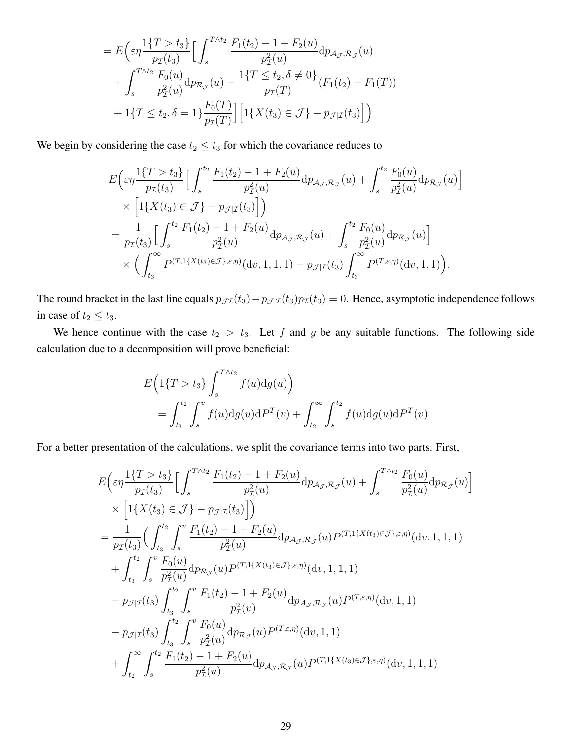$$
= E\left(\varepsilon\eta \frac{1\{T > t_3\}}{p_{\mathcal{I}}(t_3)} \Big[ \int_s^{T \wedge t_2} \frac{F_1(t_2) - 1 + F_2(u)}{p_{\mathcal{I}}^2(u)} dp_{\mathcal{A}_{\mathcal{J}}, \mathcal{R}_{\mathcal{J}}}(u) + \int_s^{T \wedge t_2} \frac{F_0(u)}{p_{\mathcal{I}}^2(u)} dp_{\mathcal{R}_{\mathcal{J}}}(u) - \frac{1\{T \le t_2, \delta \neq 0\}}{p_{\mathcal{I}}(T)} (F_1(t_2) - F_1(T)) + 1\{T \le t_2, \delta = 1\} \frac{F_0(T)}{p_{\mathcal{I}}(T)} \Big[ 1\{X(t_3) \in \mathcal{J}\} - p_{\mathcal{J}|\mathcal{I}}(t_3) \Big] \Big)
$$

We begin by considering the case  $t_2 \leq t_3$  for which the covariance reduces to

$$
E\left(\varepsilon\eta\frac{1\{T>t_3\}}{p_{\mathcal{I}}(t_3)}\right]\left[\int_s^{t_2}\frac{F_1(t_2)-1+F_2(u)}{p_{\mathcal{I}}^2(u)}dp_{\mathcal{A}_{\mathcal{J}},\mathcal{R}_{\mathcal{J}}}(u)+\int_s^{t_2}\frac{F_0(u)}{p_{\mathcal{I}}^2(u)}dp_{\mathcal{R}_{\mathcal{J}}}(u)\right] \times\left[1\{X(t_3)\in\mathcal{J}\}-p_{\mathcal{J}|\mathcal{I}}(t_3)\right]\right) =\frac{1}{p_{\mathcal{I}}(t_3)}\left[\int_s^{t_2}\frac{F_1(t_2)-1+F_2(u)}{p_{\mathcal{I}}^2(u)}dp_{\mathcal{A}_{\mathcal{J}},\mathcal{R}_{\mathcal{J}}}(u)+\int_s^{t_2}\frac{F_0(u)}{p_{\mathcal{I}}^2(u)}dp_{\mathcal{R}_{\mathcal{J}}}(u)\right] \times\left(\int_{t_3}^{\infty}P^{(T,1\{X(t_3)\in\mathcal{J}\},\varepsilon,\eta)}(dv,1,1,1)-p_{\mathcal{J}|\mathcal{I}}(t_3)\int_{t_3}^{\infty}P^{(T,\varepsilon,\eta)}(dv,1,1)\right).
$$

The round bracket in the last line equals  $p_{\mathcal{J} \mathcal{I}}(t_3)-p_{\mathcal{J} | \mathcal{I}}(t_3)p_{\mathcal{I}}(t_3)=0$ . Hence, asymptotic independence follows in case of  $t_2 \leq t_3$ .

We hence continue with the case  $t_2 > t_3$ . Let f and g be any suitable functions. The following side calculation due to a decomposition will prove beneficial:

$$
E\left(1\{T > t_3\} \int_s^{T \wedge t_2} f(u) dg(u)\right)
$$
  
= 
$$
\int_{t_3}^{t_2} \int_s^v f(u) dg(u) dP^T(v) + \int_{t_2}^{\infty} \int_s^{t_2} f(u) dg(u) dP^T(v)
$$

For a better presentation of the calculations, we split the covariance terms into two parts. First,

$$
E\left(\varepsilon\eta\frac{1\{T>t_3\}}{p_{\mathcal{I}}(t_3)}\right]\left[\int_s^{T\wedge t_2}\frac{F_1(t_2)-1+F_2(u)}{p_{\mathcal{I}}^2(u)}dp_{\mathcal{A}_{\mathcal{J}},\mathcal{R}_{\mathcal{J}}}(u)+\int_s^{T\wedge t_2}\frac{F_0(u)}{p_{\mathcal{I}}^2(u)}dp_{\mathcal{R}_{\mathcal{J}}}(u)\right]
$$
  
\n
$$
\times\left[1\{X(t_3)\in\mathcal{J}\}-p_{\mathcal{J}|\mathcal{I}}(t_3)\right]\right)
$$
  
\n
$$
=\frac{1}{p_{\mathcal{I}}(t_3)}\left(\int_{t_3}^{t_2}\int_s^v\frac{F_1(t_2)-1+F_2(u)}{p_{\mathcal{I}}^2(u)}dp_{\mathcal{A}_{\mathcal{J}},\mathcal{R}_{\mathcal{J}}}(u)P^{(T,1\{X(t_3)\in\mathcal{J}\},\varepsilon,\eta)}(\mathrm{d}v,1,1,1)\right)
$$
  
\n
$$
+\int_{t_3}^{t_2}\int_s^v\frac{F_0(u)}{p_{\mathcal{I}}^2(u)}dp_{\mathcal{R}_{\mathcal{J}}}(u)P^{(T,1\{X(t_3)\in\mathcal{J}\},\varepsilon,\eta)}(\mathrm{d}v,1,1,1)
$$
  
\n
$$
-p_{\mathcal{J}|\mathcal{I}}(t_3)\int_{t_3}^{t_2}\int_s^v\frac{F_1(t_2)-1+F_2(u)}{p_{\mathcal{I}}^2(u)}dp_{\mathcal{A}_{\mathcal{J}},\mathcal{R}_{\mathcal{J}}}(u)P^{(T,\varepsilon,\eta)}(\mathrm{d}v,1,1)
$$
  
\n
$$
-p_{\mathcal{J}|\mathcal{I}}(t_3)\int_{t_3}^{t_2}\int_s^v\frac{F_0(u)}{p_{\mathcal{I}}^2(u)}dp_{\mathcal{R}_{\mathcal{J}}}(u)P^{(T,\varepsilon,\eta)}(\mathrm{d}v,1,1)
$$
  
\n
$$
+\int_{t_2}^\infty\int_s^{t_2}\frac{F_1(t_2)-1+F_2(u)}{p_{\mathcal{I}}^2(u)}dp_{\
$$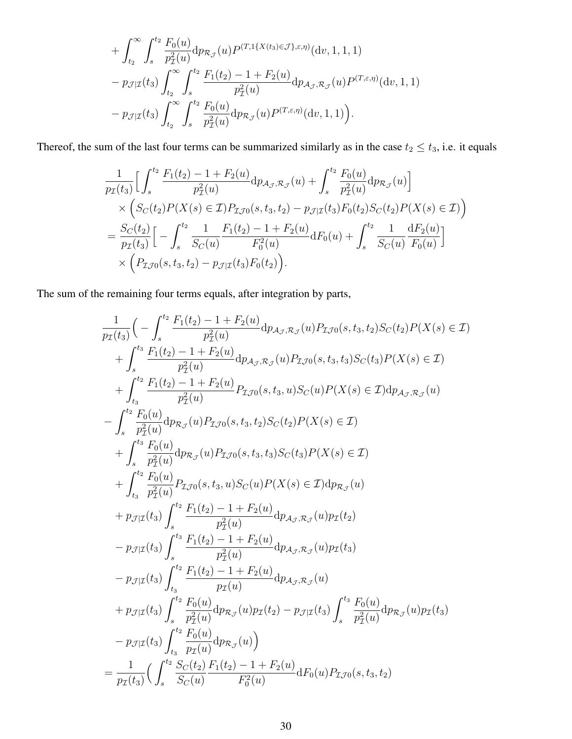+
$$
\int_{t_2}^{\infty} \int_s^{t_2} \frac{F_0(u)}{p_{\mathcal{I}}^2(u)} dp_{\mathcal{R}_{\mathcal{J}}}(u) P^{(T,1\{X(t_3) \in \mathcal{J}\},\varepsilon,\eta)}(dv,1,1,1) - p_{\mathcal{J}|\mathcal{I}}(t_3) \int_{t_2}^{\infty} \int_s^{t_2} \frac{F_1(t_2) - 1 + F_2(u)}{p_{\mathcal{I}}^2(u)} dp_{\mathcal{A}_{\mathcal{J}},\mathcal{R}_{\mathcal{J}}}(u) P^{(T,\varepsilon,\eta)}(dv,1,1) - p_{\mathcal{J}|\mathcal{I}}(t_3) \int_{t_2}^{\infty} \int_s^{t_2} \frac{F_0(u)}{p_{\mathcal{I}}^2(u)} dp_{\mathcal{R}_{\mathcal{J}}}(u) P^{(T,\varepsilon,\eta)}(dv,1,1).
$$

Thereof, the sum of the last four terms can be summarized similarly as in the case  $t_2 \le t_3$ , i.e. it equals

$$
\frac{1}{p_{\mathcal{I}}(t_3)} \Big[ \int_s^{t_2} \frac{F_1(t_2) - 1 + F_2(u)}{p_{\mathcal{I}}^2(u)} dp_{\mathcal{A}_{\mathcal{J}},\mathcal{R}_{\mathcal{J}}}(u) + \int_s^{t_2} \frac{F_0(u)}{p_{\mathcal{I}}^2(u)} dp_{\mathcal{R}_{\mathcal{J}}}(u) \Big] \times \Big( S_C(t_2) P(X(s) \in \mathcal{I}) P_{\mathcal{I},\mathcal{I}}(s, t_3, t_2) - p_{\mathcal{J}|\mathcal{I}}(t_3) F_0(t_2) S_C(t_2) P(X(s) \in \mathcal{I}) \Big) \n= \frac{S_C(t_2)}{p_{\mathcal{I}}(t_3)} \Big[ - \int_s^{t_2} \frac{1}{S_C(u)} \frac{F_1(t_2) - 1 + F_2(u)}{F_0^2(u)} dF_0(u) + \int_s^{t_2} \frac{1}{S_C(u)} \frac{dF_2(u)}{F_0(u)} \Big] \times \Big( P_{\mathcal{I},\mathcal{I}}(s, t_3, t_2) - p_{\mathcal{J}|\mathcal{I}}(t_3) F_0(t_2) \Big).
$$

The sum of the remaining four terms equals, after integration by parts,

$$
\frac{1}{p_{\mathcal{I}}(t_3)} \Big( - \int_{s}^{t_2} \frac{F_1(t_2) - 1 + F_2(u)}{p_{\mathcal{I}}^2(u)} \mathrm{d}p_{\mathcal{A}_{\mathcal{J}},\mathcal{R}_{\mathcal{J}}}(u) P_{\mathcal{I},\mathcal{I}0}(s, t_3, t_2) S_C(t_2) P(X(s) \in \mathcal{I})
$$
\n
$$
+ \int_{s}^{t_3} \frac{F_1(t_2) - 1 + F_2(u)}{p_{\mathcal{I}}^2(u)} \mathrm{d}p_{\mathcal{A}_{\mathcal{J}},\mathcal{R}_{\mathcal{J}}}(u) P_{\mathcal{I},\mathcal{I}0}(s, t_3, t_3) S_C(t_3) P(X(s) \in \mathcal{I})
$$
\n
$$
+ \int_{t_3}^{t_2} \frac{F_1(t_2) - 1 + F_2(u)}{p_{\mathcal{I}}^2(u)} P_{\mathcal{I},\mathcal{I}0}(s, t_3, u) S_C(u) P(X(s) \in \mathcal{I}) \mathrm{d}p_{\mathcal{A}_{\mathcal{J}},\mathcal{R}_{\mathcal{J}}}(u)
$$
\n
$$
- \int_{s}^{t_2} \frac{F_0(u)}{p_{\mathcal{I}}^2(u)} \mathrm{d}p_{\mathcal{R}_{\mathcal{J}}}(u) P_{\mathcal{I},\mathcal{I}0}(s, t_3, t_2) S_C(t_2) P(X(s) \in \mathcal{I})
$$
\n
$$
+ \int_{t_3}^{t_3} \frac{F_0(u)}{p_{\mathcal{I}}^2(u)} P_{\mathcal{I},\mathcal{I}0}(s, t_3, u) S_C(u) P(X(s) \in \mathcal{I}) \mathrm{d}p_{\mathcal{R}_{\mathcal{J}}}(u)
$$
\n
$$
+ p_{\mathcal{I}|\mathcal{I}}(t_3) \int_{s}^{t_2} \frac{F_1(t_2) - 1 + F_2(u)}{p_{\mathcal{I}}^2(u)} \mathrm{d}p_{\mathcal{A}_{\mathcal{J}},\mathcal{R}_{\mathcal{J}}}(u) p_{\mathcal{I}}(t_2)
$$
\n
$$
- p_{\mathcal{I}|\mathcal{I}}(t_
$$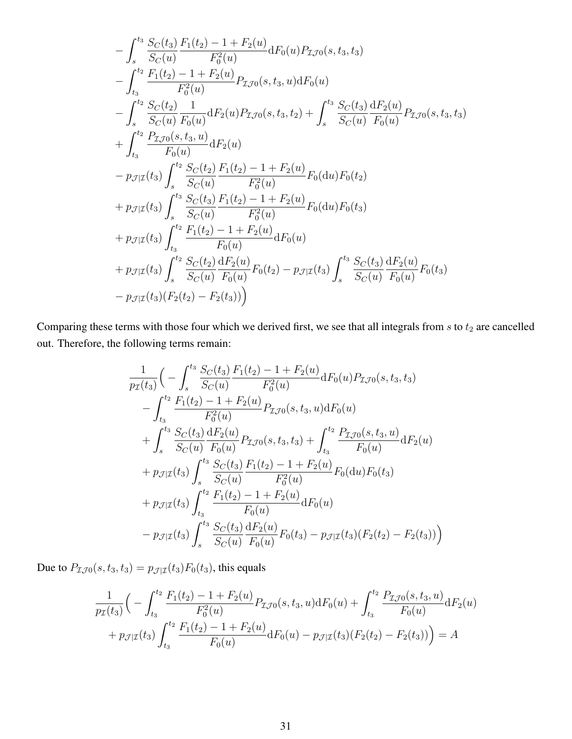$$
-\int_{s}^{t_{3}} \frac{S_{C}(t_{3})}{S_{C}(u)} \frac{F_{1}(t_{2}) - 1 + F_{2}(u)}{F_{0}^{2}(u)} dF_{0}(u) P_{\mathcal{I},0}(s, t_{3}, t_{3})
$$
  
\n
$$
-\int_{t_{3}}^{t_{2}} \frac{F_{1}(t_{2}) - 1 + F_{2}(u)}{F_{0}^{2}(u)} P_{\mathcal{I},0}(s, t_{3}, u) dF_{0}(u)
$$
  
\n
$$
-\int_{s}^{t_{2}} \frac{S_{C}(t_{2})}{S_{C}(u)} \frac{1}{F_{0}(u)} dF_{2}(u) P_{\mathcal{I},0}(s, t_{3}, t_{2}) + \int_{s}^{t_{3}} \frac{S_{C}(t_{3})}{S_{C}(u)} \frac{dF_{2}(u)}{F_{0}(u)} P_{\mathcal{I},0}(s, t_{3}, t_{3})
$$
  
\n
$$
+\int_{t_{3}}^{t_{2}} \frac{P_{\mathcal{I},0}(s, t_{3}, u)}{F_{0}(u)} dF_{2}(u)
$$
  
\n
$$
- p_{\mathcal{I}| \mathcal{I}}(t_{3}) \int_{s}^{t_{2}} \frac{S_{C}(t_{2})}{S_{C}(u)} \frac{F_{1}(t_{2}) - 1 + F_{2}(u)}{F_{0}^{2}(u)} F_{0}(du) F_{0}(t_{2})
$$
  
\n
$$
+ p_{\mathcal{I}| \mathcal{I}}(t_{3}) \int_{s}^{t_{3}} \frac{S_{C}(t_{3})}{S_{C}(u)} \frac{F_{1}(t_{2}) - 1 + F_{2}(u)}{F_{0}^{2}(u)} F_{0}(du) F_{0}(t_{3})
$$
  
\n
$$
+ p_{\mathcal{I}| \mathcal{I}}(t_{3}) \int_{t_{3}}^{t_{2}} \frac{F_{1}(t_{2}) - 1 + F_{2}(u)}{F_{0}(u)} dF_{0}(u)
$$
  
\n
$$
+ p_{\mathcal{I}| \mathcal{I}}(t_{3}) \int_{s}^{t_{2}} \frac{S_{C}(t_{2})}{S_{C}(u)} \frac{dF_{2}(u)}{F_{0}(u)} F_{0}(t_{2}) - p_{\mathcal{I}| \mathcal{I}}(t_{3
$$

Comparing these terms with those four which we derived first, we see that all integrals from  $s$  to  $t_2$  are cancelled out. Therefore, the following terms remain:

$$
\frac{1}{p_{\mathcal{I}}(t_3)} \Big( - \int_s^{t_3} \frac{S_C(t_3)}{S_C(u)} \frac{F_1(t_2) - 1 + F_2(u)}{F_0^2(u)} dF_0(u) P_{\mathcal{I}J0}(s, t_3, t_3) \n- \int_{t_3}^{t_2} \frac{F_1(t_2) - 1 + F_2(u)}{F_0^2(u)} P_{\mathcal{I}J0}(s, t_3, u) dF_0(u) \n+ \int_s^{t_3} \frac{S_C(t_3)}{S_C(u)} \frac{dF_2(u)}{F_0(u)} P_{\mathcal{I}J0}(s, t_3, t_3) + \int_{t_3}^{t_2} \frac{P_{\mathcal{I}J0}(s, t_3, u)}{F_0(u)} dF_2(u) \n+ p_{\mathcal{J}|\mathcal{I}}(t_3) \int_s^{t_3} \frac{S_C(t_3)}{S_C(u)} \frac{F_1(t_2) - 1 + F_2(u)}{F_0^2(u)} F_0(\mathrm{d}u) F_0(t_3) \n+ p_{\mathcal{J}|\mathcal{I}}(t_3) \int_{t_3}^{t_2} \frac{F_1(t_2) - 1 + F_2(u)}{F_0(u)} dF_0(u) \n- p_{\mathcal{J}|\mathcal{I}}(t_3) \int_s^{t_3} \frac{S_C(t_3)}{S_C(u)} \frac{dF_2(u)}{F_0(u)} F_0(t_3) - p_{\mathcal{J}|\mathcal{I}}(t_3) (F_2(t_2) - F_2(t_3)) \Big)
$$

Due to  $P_{\mathcal{I} \mathcal{J} 0}(s, t_3, t_3) = p_{\mathcal{J} | \mathcal{I}}(t_3) F_0(t_3)$ , this equals

$$
\frac{1}{p_{\mathcal{I}}(t_3)} \Big( - \int_{t_3}^{t_2} \frac{F_1(t_2) - 1 + F_2(u)}{F_0^2(u)} P_{\mathcal{I} \mathcal{J} 0}(s, t_3, u) dF_0(u) + \int_{t_3}^{t_2} \frac{P_{\mathcal{I} \mathcal{J} 0}(s, t_3, u)}{F_0(u)} dF_2(u) \n+ p_{\mathcal{J}|\mathcal{I}}(t_3) \int_{t_3}^{t_2} \frac{F_1(t_2) - 1 + F_2(u)}{F_0(u)} dF_0(u) - p_{\mathcal{J}|\mathcal{I}}(t_3) (F_2(t_2) - F_2(t_3)) \Big) = A
$$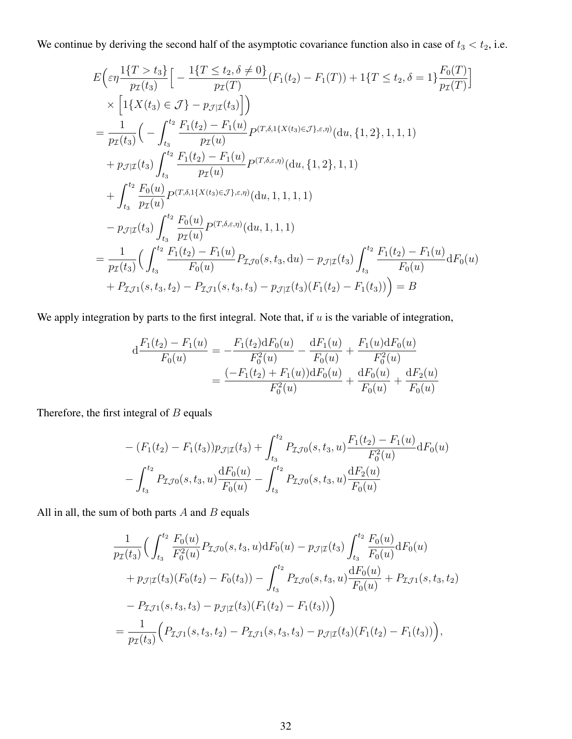We continue by deriving the second half of the asymptotic covariance function also in case of  $t_3 < t_2$ , i.e.

$$
E\left(\varepsilon\eta\frac{1\{T>t_3\}}{p_T(t_3)}\left[-\frac{1\{T\le t_2, \delta\neq 0\}}{p_T(T)}(F_1(t_2) - F_1(T)) + 1\{T \le t_2, \delta = 1\}\frac{F_0(T)}{p_T(T)}\right]\right)
$$
  
\n
$$
\times \left[1\{X(t_3) \in \mathcal{J}\} - p_{\mathcal{I}|\mathcal{I}}(t_3)\right]
$$
  
\n
$$
= \frac{1}{p_T(t_3)}\left(-\int_{t_3}^{t_2} \frac{F_1(t_2) - F_1(u)}{p_T(u)} p^{(T,\delta,\mathcal{I}\{X(t_3) \in \mathcal{J}\},\varepsilon,\eta)}(du, \{1,2\}, 1, 1, 1) + p_{\mathcal{I}|\mathcal{I}}(t_3)\int_{t_3}^{t_2} \frac{F_1(t_2) - F_1(u)}{p_T(u)} p^{(T,\delta,\varepsilon,\eta)}(du, \{1,2\}, 1, 1) + \int_{t_3}^{t_2} \frac{F_0(u)}{p_T(u)} p^{(T,\delta,\mathcal{I}\{X(t_3) \in \mathcal{J}\},\varepsilon,\eta)}(du, 1, 1, 1, 1, 1) - p_{\mathcal{I}|\mathcal{I}}(t_3)\int_{t_3}^{t_2} \frac{F_0(u)}{p_T(u)} p^{(T,\delta,\varepsilon,\eta)}(du, 1, 1, 1, 1) - \frac{1}{p_T(t_3)}\left(\int_{t_3}^{t_2} \frac{F_0(u)}{F_0(u)} p^{(T,\delta,\varepsilon,\eta)}(du, 1, 1, 1, 1) - \frac{1}{p_T(t_3)}\left(\int_{t_3}^{t_2} \frac{F_1(t_2) - F_1(u)}{F_0(u)} P_{\mathcal{I}\mathcal{I}}(0, t_3, du) - p_{\mathcal{I}|\mathcal{I}}(t_3)\int_{t_3}^{t_2} \frac{F_1(t_2) - F_1(u)}{F_0(u)} dF_0(u) + P_{\mathcal{I}\mathcal{I}}(s, t_3, t_2) - P_{\mathcal{I}\mathcal{I}}(s, t_3, t_3) - p_{\mathcal{
$$

We apply integration by parts to the first integral. Note that, if  $u$  is the variable of integration,

$$
d\frac{F_1(t_2) - F_1(u)}{F_0(u)} = -\frac{F_1(t_2)dF_0(u)}{F_0^2(u)} - \frac{dF_1(u)}{F_0(u)} + \frac{F_1(u)dF_0(u)}{F_0^2(u)}
$$
  
= 
$$
\frac{(-F_1(t_2) + F_1(u))dF_0(u)}{F_0^2(u)} + \frac{dF_0(u)}{F_0(u)} + \frac{dF_2(u)}{F_0(u)}
$$

Therefore, the first integral of  $B$  equals

$$
- (F_1(t_2) - F_1(t_3))p_{\mathcal{J}|\mathcal{I}}(t_3) + \int_{t_3}^{t_2} P_{\mathcal{I}\mathcal{J}0}(s, t_3, u) \frac{F_1(t_2) - F_1(u)}{F_0^2(u)} \mathrm{d}F_0(u)
$$

$$
- \int_{t_3}^{t_2} P_{\mathcal{I}\mathcal{J}0}(s, t_3, u) \frac{\mathrm{d}F_0(u)}{F_0(u)} - \int_{t_3}^{t_2} P_{\mathcal{I}\mathcal{J}0}(s, t_3, u) \frac{\mathrm{d}F_2(u)}{F_0(u)}
$$

All in all, the sum of both parts  $A$  and  $B$  equals

$$
\frac{1}{p_{\mathcal{I}}(t_3)} \Big( \int_{t_3}^{t_2} \frac{F_0(u)}{F_0^2(u)} P_{\mathcal{I} \mathcal{J} 0}(s, t_3, u) dF_0(u) - p_{\mathcal{J}|\mathcal{I}}(t_3) \int_{t_3}^{t_2} \frac{F_0(u)}{F_0(u)} dF_0(u) \n+ p_{\mathcal{J}|\mathcal{I}}(t_3) (F_0(t_2) - F_0(t_3)) - \int_{t_3}^{t_2} P_{\mathcal{I} \mathcal{J} 0}(s, t_3, u) \frac{dF_0(u)}{F_0(u)} + P_{\mathcal{I} \mathcal{J} 1}(s, t_3, t_2) \n- P_{\mathcal{I} \mathcal{J} 1}(s, t_3, t_3) - p_{\mathcal{J}|\mathcal{I}}(t_3) (F_1(t_2) - F_1(t_3)) \Big) \n= \frac{1}{p_{\mathcal{I}}(t_3)} \Big( P_{\mathcal{I} \mathcal{J} 1}(s, t_3, t_2) - P_{\mathcal{I} \mathcal{J} 1}(s, t_3, t_3) - p_{\mathcal{J}|\mathcal{I}}(t_3) (F_1(t_2) - F_1(t_3)) \Big),
$$